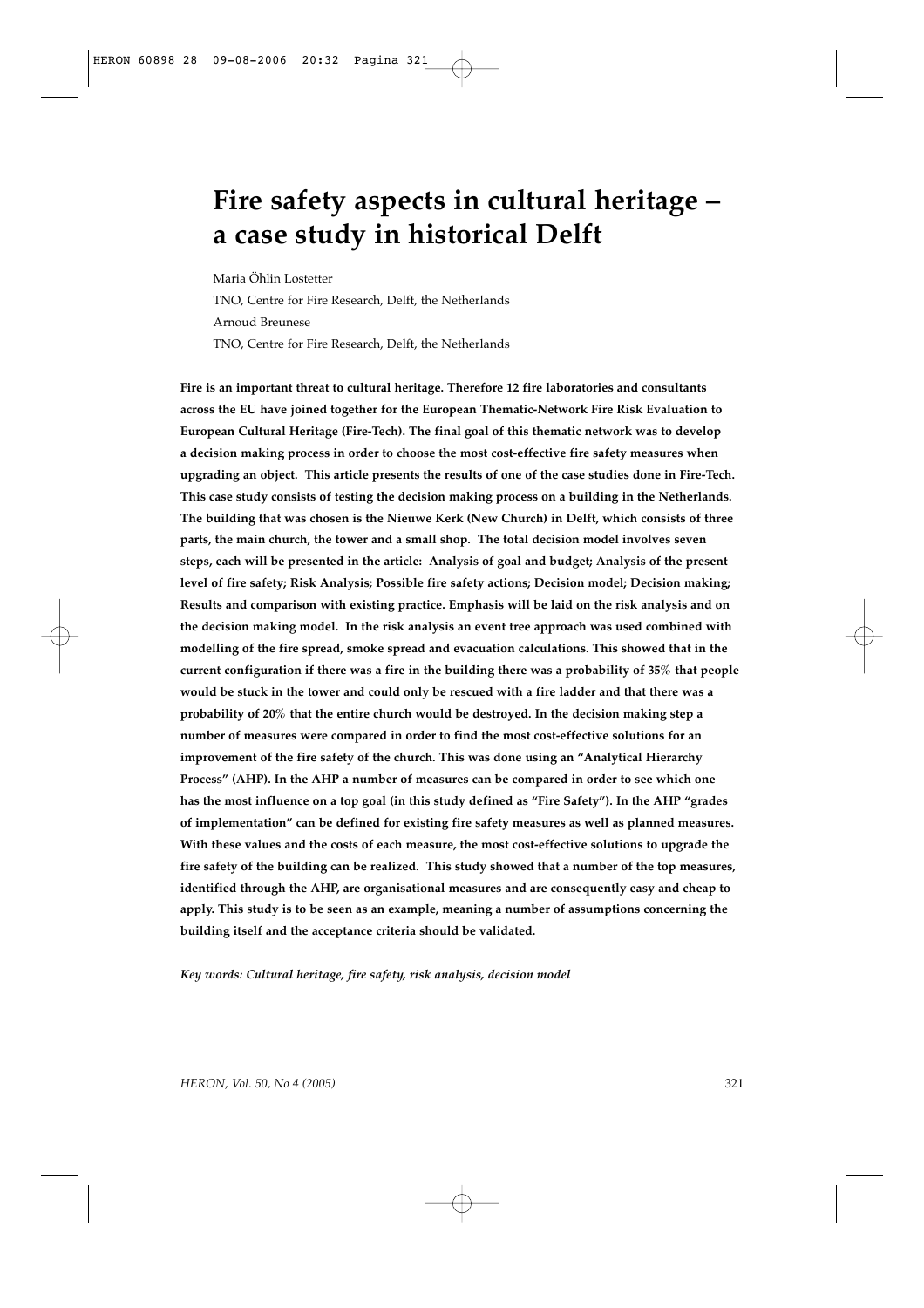# **Fire safety aspects in cultural heritage – a case study in historical Delft**

Maria Öhlin Lostetter TNO, Centre for Fire Research, Delft, the Netherlands Arnoud Breunese TNO, Centre for Fire Research, Delft, the Netherlands

**Fire is an important threat to cultural heritage. Therefore 12 fire laboratories and consultants across the EU have joined together for the European Thematic-Network Fire Risk Evaluation to European Cultural Heritage (Fire-Tech). The final goal of this thematic network was to develop a decision making process in order to choose the most cost-effective fire safety measures when upgrading an object. This article presents the results of one of the case studies done in Fire-Tech. This case study consists of testing the decision making process on a building in the Netherlands. The building that was chosen is the Nieuwe Kerk (New Church) in Delft, which consists of three parts, the main church, the tower and a small shop. The total decision model involves seven steps, each will be presented in the article: Analysis of goal and budget; Analysis of the present level of fire safety; Risk Analysis; Possible fire safety actions; Decision model; Decision making; Results and comparison with existing practice. Emphasis will be laid on the risk analysis and on the decision making model. In the risk analysis an event tree approach was used combined with modelling of the fire spread, smoke spread and evacuation calculations. This showed that in the current configuration if there was a fire in the building there was a probability of 35% that people would be stuck in the tower and could only be rescued with a fire ladder and that there was a probability of 20% that the entire church would be destroyed. In the decision making step a number of measures were compared in order to find the most cost-effective solutions for an improvement of the fire safety of the church. This was done using an "Analytical Hierarchy Process" (AHP). In the AHP a number of measures can be compared in order to see which one has the most influence on a top goal (in this study defined as "Fire Safety"). In the AHP "grades of implementation" can be defined for existing fire safety measures as well as planned measures. With these values and the costs of each measure, the most cost-effective solutions to upgrade the fire safety of the building can be realized. This study showed that a number of the top measures, identified through the AHP, are organisational measures and are consequently easy and cheap to apply. This study is to be seen as an example, meaning a number of assumptions concerning the building itself and the acceptance criteria should be validated.** 

*Key words: Cultural heritage, fire safety, risk analysis, decision model*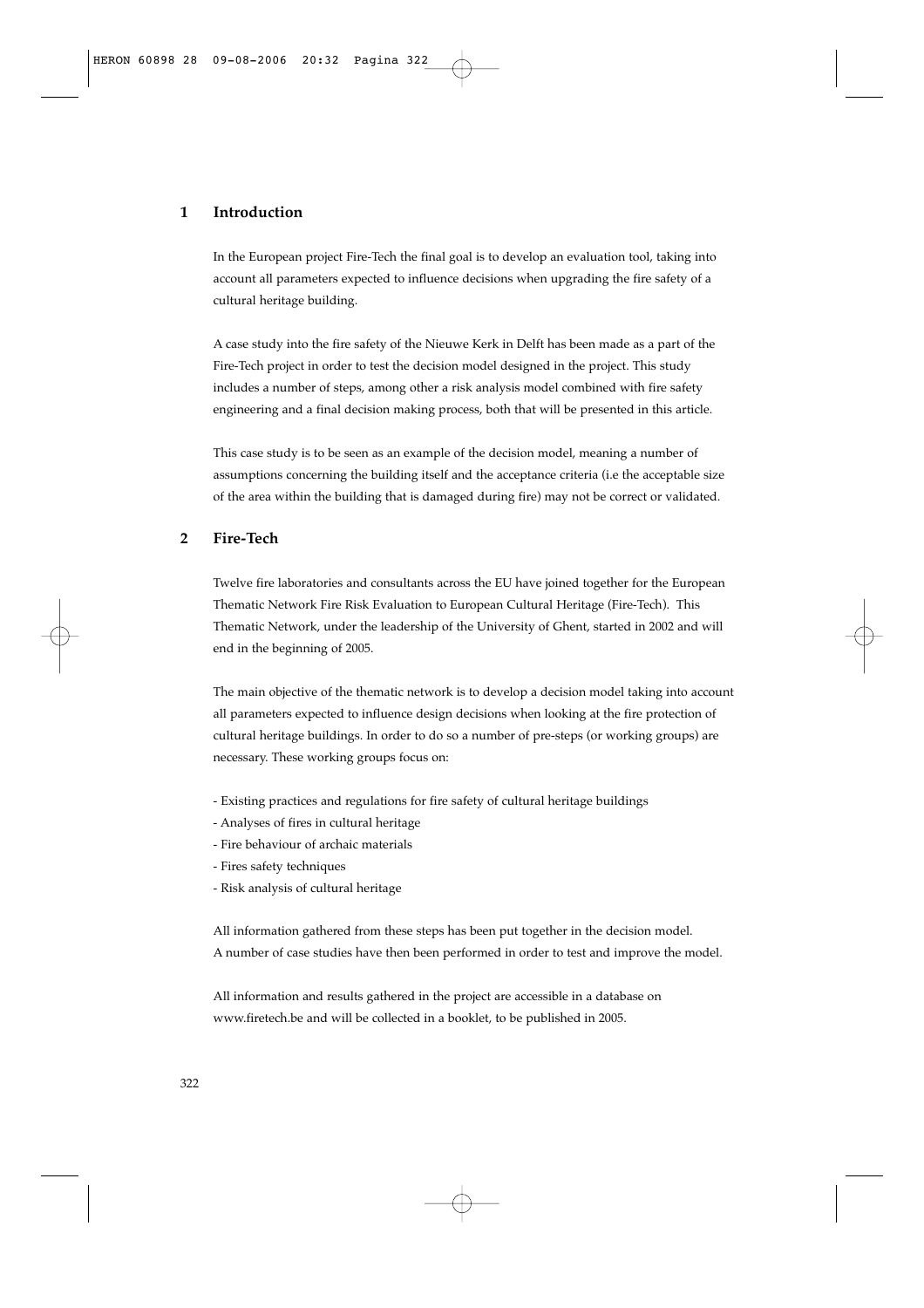# **1 Introduction**

In the European project Fire-Tech the final goal is to develop an evaluation tool, taking into account all parameters expected to influence decisions when upgrading the fire safety of a cultural heritage building.

A case study into the fire safety of the Nieuwe Kerk in Delft has been made as a part of the Fire-Tech project in order to test the decision model designed in the project. This study includes a number of steps, among other a risk analysis model combined with fire safety engineering and a final decision making process, both that will be presented in this article.

This case study is to be seen as an example of the decision model, meaning a number of assumptions concerning the building itself and the acceptance criteria (i.e the acceptable size of the area within the building that is damaged during fire) may not be correct or validated.

# **2 Fire-Tech**

Twelve fire laboratories and consultants across the EU have joined together for the European Thematic Network Fire Risk Evaluation to European Cultural Heritage (Fire-Tech). This Thematic Network, under the leadership of the University of Ghent, started in 2002 and will end in the beginning of 2005.

The main objective of the thematic network is to develop a decision model taking into account all parameters expected to influence design decisions when looking at the fire protection of cultural heritage buildings. In order to do so a number of pre-steps (or working groups) are necessary. These working groups focus on:

- Existing practices and regulations for fire safety of cultural heritage buildings
- Analyses of fires in cultural heritage
- Fire behaviour of archaic materials
- Fires safety techniques
- Risk analysis of cultural heritage

All information gathered from these steps has been put together in the decision model. A number of case studies have then been performed in order to test and improve the model.

All information and results gathered in the project are accessible in a database on www.firetech.be and will be collected in a booklet, to be published in 2005.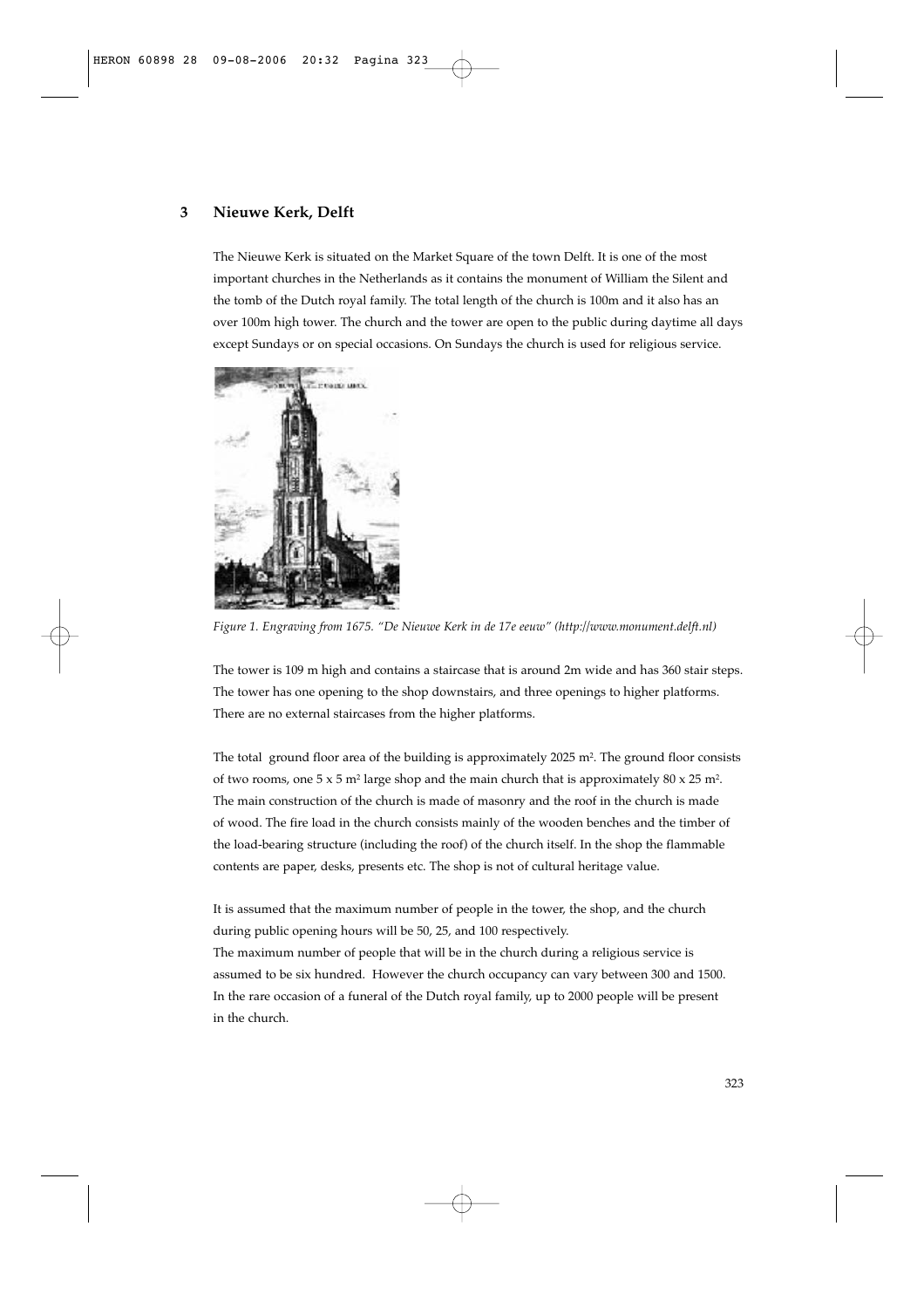# **3 Nieuwe Kerk, Delft**

The Nieuwe Kerk is situated on the Market Square of the town Delft. It is one of the most important churches in the Netherlands as it contains the monument of William the Silent and the tomb of the Dutch royal family. The total length of the church is 100m and it also has an over 100m high tower. The church and the tower are open to the public during daytime all days except Sundays or on special occasions. On Sundays the church is used for religious service.



*Figure 1. Engraving from 1675. "De Nieuwe Kerk in de 17e eeuw" (http://www.monument.delft.nl)*

The tower is 109 m high and contains a staircase that is around 2m wide and has 360 stair steps. The tower has one opening to the shop downstairs, and three openings to higher platforms. There are no external staircases from the higher platforms.

The total ground floor area of the building is approximately 2025 m<sup>2</sup>. The ground floor consists of two rooms, one  $5 \times 5$  m<sup>2</sup> large shop and the main church that is approximately  $80 \times 25$  m<sup>2</sup>. The main construction of the church is made of masonry and the roof in the church is made of wood. The fire load in the church consists mainly of the wooden benches and the timber of the load-bearing structure (including the roof) of the church itself. In the shop the flammable contents are paper, desks, presents etc. The shop is not of cultural heritage value.

It is assumed that the maximum number of people in the tower, the shop, and the church during public opening hours will be 50, 25, and 100 respectively. The maximum number of people that will be in the church during a religious service is assumed to be six hundred. However the church occupancy can vary between 300 and 1500. In the rare occasion of a funeral of the Dutch royal family, up to 2000 people will be present in the church.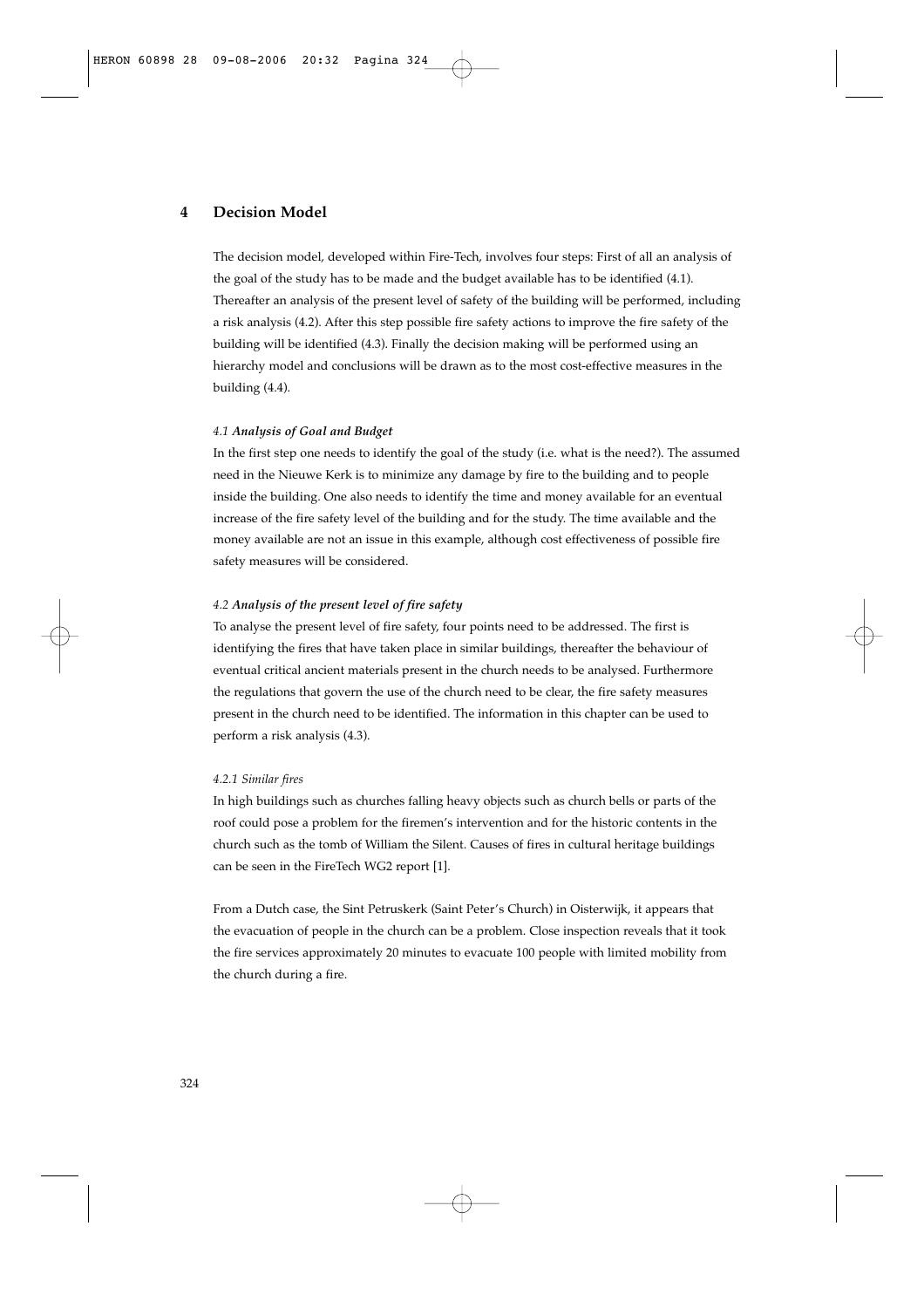# **4 Decision Model**

The decision model, developed within Fire-Tech, involves four steps: First of all an analysis of the goal of the study has to be made and the budget available has to be identified (4.1). Thereafter an analysis of the present level of safety of the building will be performed, including a risk analysis (4.2). After this step possible fire safety actions to improve the fire safety of the building will be identified (4.3). Finally the decision making will be performed using an hierarchy model and conclusions will be drawn as to the most cost-effective measures in the building (4.4).

#### *4.1 Analysis of Goal and Budget*

In the first step one needs to identify the goal of the study (i.e. what is the need?). The assumed need in the Nieuwe Kerk is to minimize any damage by fire to the building and to people inside the building. One also needs to identify the time and money available for an eventual increase of the fire safety level of the building and for the study. The time available and the money available are not an issue in this example, although cost effectiveness of possible fire safety measures will be considered.

## *4.2 Analysis of the present level of fire safety*

To analyse the present level of fire safety, four points need to be addressed. The first is identifying the fires that have taken place in similar buildings, thereafter the behaviour of eventual critical ancient materials present in the church needs to be analysed. Furthermore the regulations that govern the use of the church need to be clear, the fire safety measures present in the church need to be identified. The information in this chapter can be used to perform a risk analysis (4.3).

#### *4.2.1 Similar fires*

In high buildings such as churches falling heavy objects such as church bells or parts of the roof could pose a problem for the firemen's intervention and for the historic contents in the church such as the tomb of William the Silent. Causes of fires in cultural heritage buildings can be seen in the FireTech WG2 report [1].

From a Dutch case, the Sint Petruskerk (Saint Peter's Church) in Oisterwijk, it appears that the evacuation of people in the church can be a problem. Close inspection reveals that it took the fire services approximately 20 minutes to evacuate 100 people with limited mobility from the church during a fire.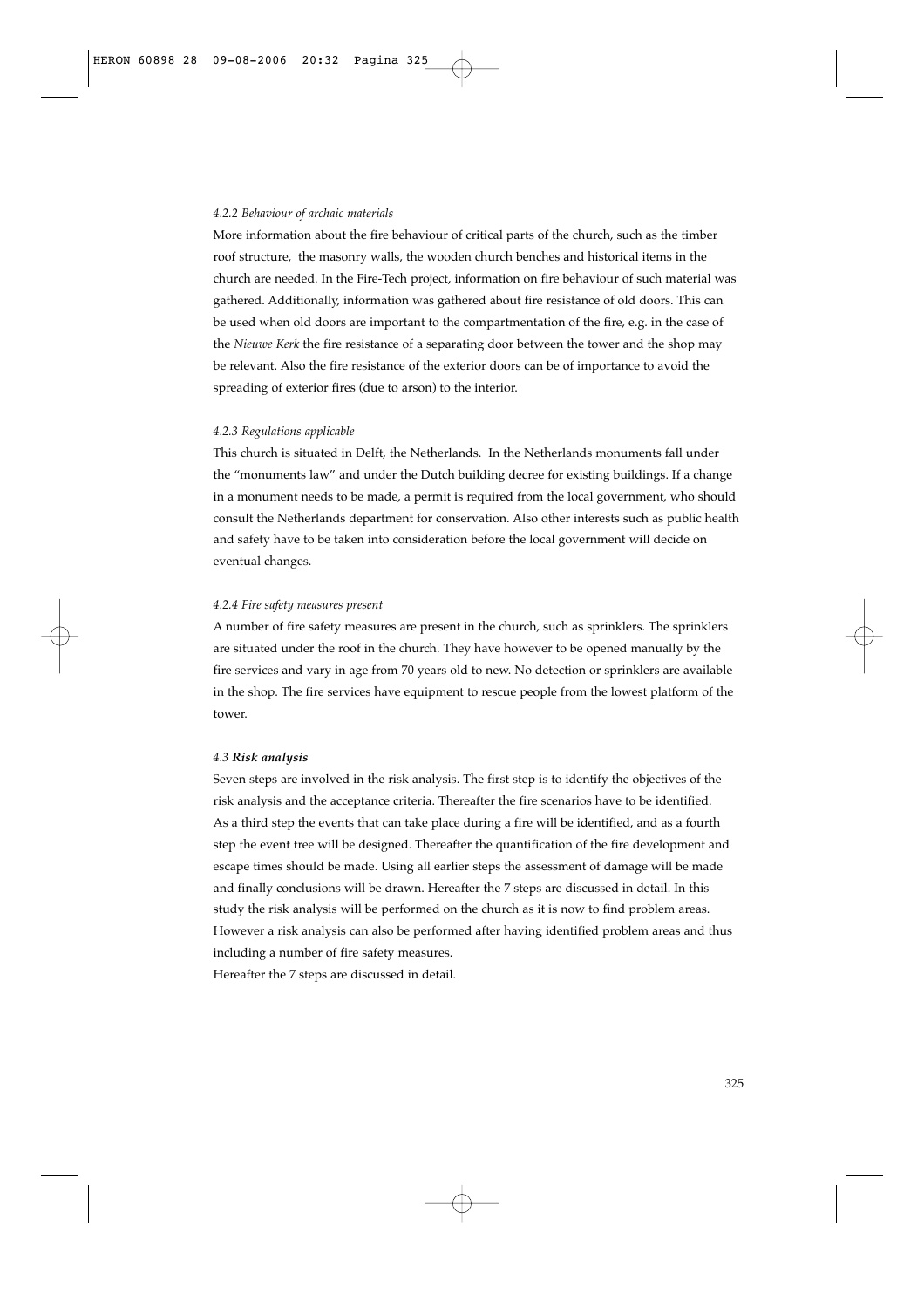#### *4.2.2 Behaviour of archaic materials*

More information about the fire behaviour of critical parts of the church, such as the timber roof structure, the masonry walls, the wooden church benches and historical items in the church are needed. In the Fire-Tech project, information on fire behaviour of such material was gathered. Additionally, information was gathered about fire resistance of old doors. This can be used when old doors are important to the compartmentation of the fire, e.g. in the case of the *Nieuwe Kerk* the fire resistance of a separating door between the tower and the shop may be relevant. Also the fire resistance of the exterior doors can be of importance to avoid the spreading of exterior fires (due to arson) to the interior.

#### *4.2.3 Regulations applicable*

This church is situated in Delft, the Netherlands. In the Netherlands monuments fall under the "monuments law" and under the Dutch building decree for existing buildings. If a change in a monument needs to be made, a permit is required from the local government, who should consult the Netherlands department for conservation. Also other interests such as public health and safety have to be taken into consideration before the local government will decide on eventual changes.

## *4.2.4 Fire safety measures present*

A number of fire safety measures are present in the church, such as sprinklers. The sprinklers are situated under the roof in the church. They have however to be opened manually by the fire services and vary in age from 70 years old to new. No detection or sprinklers are available in the shop. The fire services have equipment to rescue people from the lowest platform of the tower.

#### *4.3 Risk analysis*

Seven steps are involved in the risk analysis. The first step is to identify the objectives of the risk analysis and the acceptance criteria. Thereafter the fire scenarios have to be identified. As a third step the events that can take place during a fire will be identified, and as a fourth step the event tree will be designed. Thereafter the quantification of the fire development and escape times should be made. Using all earlier steps the assessment of damage will be made and finally conclusions will be drawn. Hereafter the 7 steps are discussed in detail. In this study the risk analysis will be performed on the church as it is now to find problem areas. However a risk analysis can also be performed after having identified problem areas and thus including a number of fire safety measures.

Hereafter the 7 steps are discussed in detail.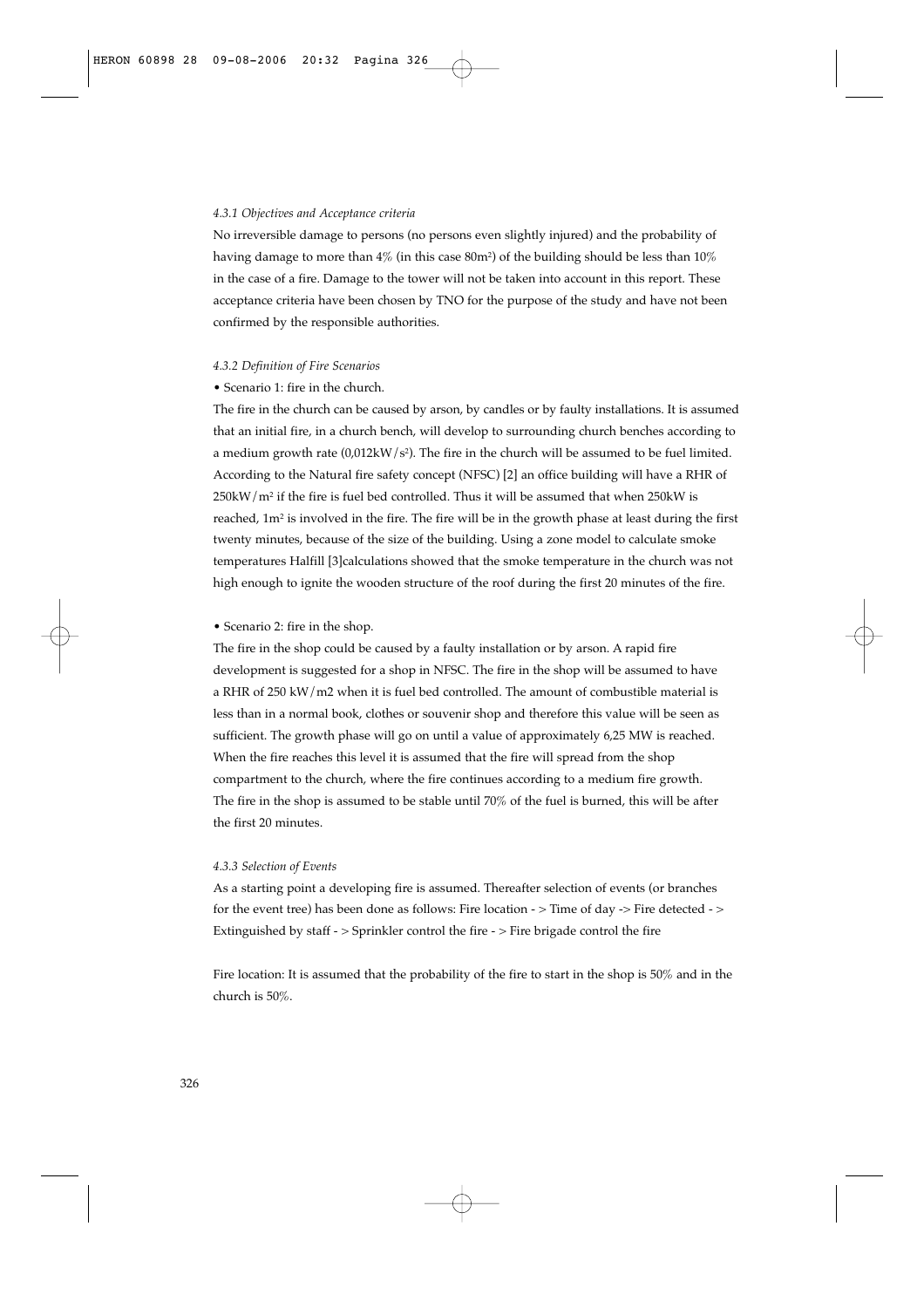#### *4.3.1 Objectives and Acceptance criteria*

No irreversible damage to persons (no persons even slightly injured) and the probability of having damage to more than  $4\%$  (in this case  $80m^2$ ) of the building should be less than  $10\%$ in the case of a fire. Damage to the tower will not be taken into account in this report. These acceptance criteria have been chosen by TNO for the purpose of the study and have not been confirmed by the responsible authorities.

#### *4.3.2 Definition of Fire Scenarios*

## • Scenario 1: fire in the church.

The fire in the church can be caused by arson, by candles or by faulty installations. It is assumed that an initial fire, in a church bench, will develop to surrounding church benches according to a medium growth rate  $(0.012kW/s<sup>2</sup>)$ . The fire in the church will be assumed to be fuel limited. According to the Natural fire safety concept (NFSC) [2] an office building will have a RHR of  $250$ kW/m<sup>2</sup> if the fire is fuel bed controlled. Thus it will be assumed that when  $250$ kW is reached, 1m<sup>2</sup> is involved in the fire. The fire will be in the growth phase at least during the first twenty minutes, because of the size of the building. Using a zone model to calculate smoke temperatures Halfill [3]calculations showed that the smoke temperature in the church was not high enough to ignite the wooden structure of the roof during the first 20 minutes of the fire.

#### • Scenario 2: fire in the shop.

The fire in the shop could be caused by a faulty installation or by arson. A rapid fire development is suggested for a shop in NFSC. The fire in the shop will be assumed to have a RHR of 250 kW/m2 when it is fuel bed controlled. The amount of combustible material is less than in a normal book, clothes or souvenir shop and therefore this value will be seen as sufficient. The growth phase will go on until a value of approximately 6,25 MW is reached. When the fire reaches this level it is assumed that the fire will spread from the shop compartment to the church, where the fire continues according to a medium fire growth. The fire in the shop is assumed to be stable until 70% of the fuel is burned, this will be after the first 20 minutes.

#### *4.3.3 Selection of Events*

As a starting point a developing fire is assumed. Thereafter selection of events (or branches for the event tree) has been done as follows: Fire location - > Time of day -> Fire detected - > Extinguished by staff - > Sprinkler control the fire - > Fire brigade control the fire

Fire location: It is assumed that the probability of the fire to start in the shop is 50% and in the church is 50%.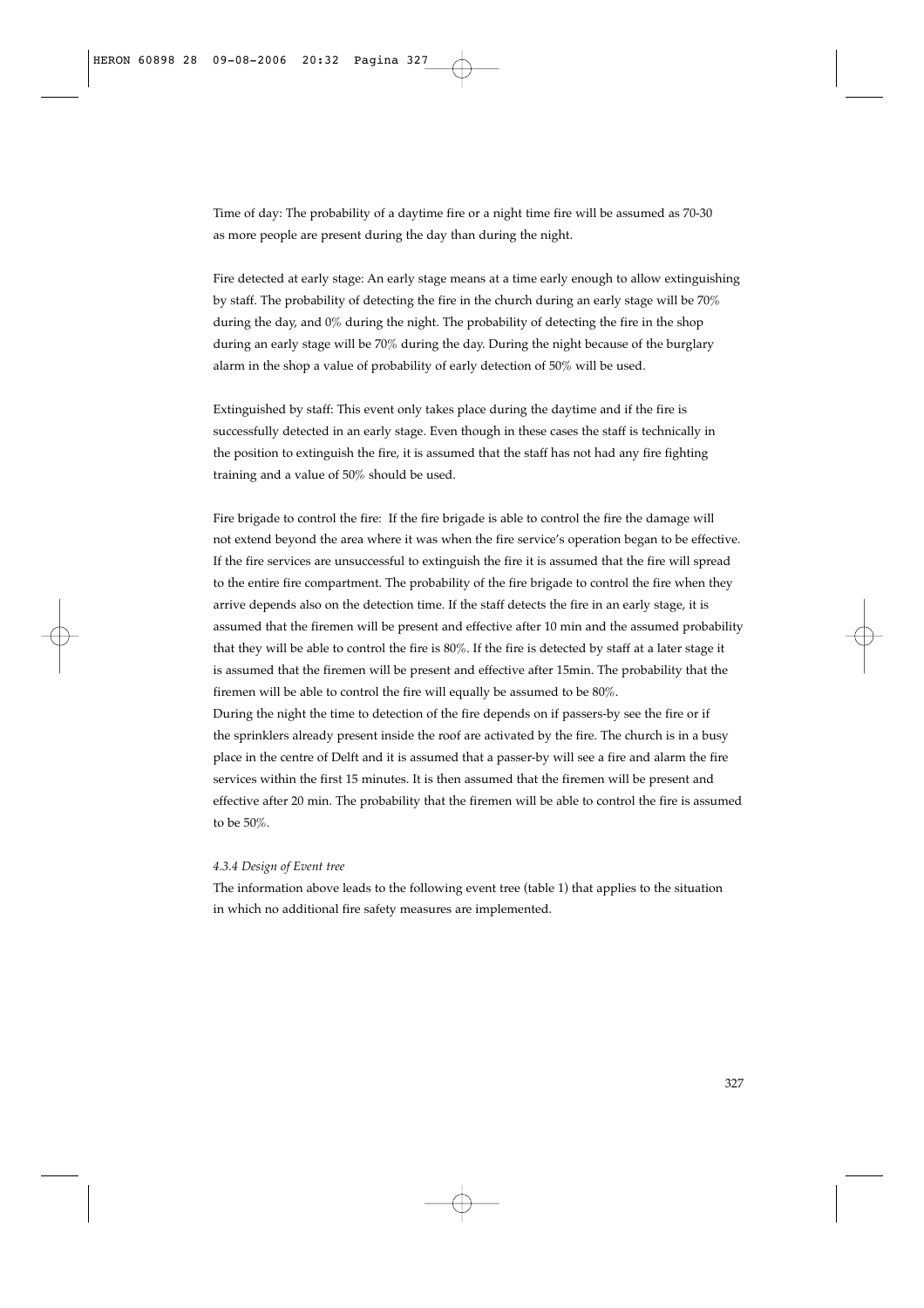Time of day: The probability of a daytime fire or a night time fire will be assumed as 70-30 as more people are present during the day than during the night.

Fire detected at early stage: An early stage means at a time early enough to allow extinguishing by staff. The probability of detecting the fire in the church during an early stage will be 70% during the day, and 0% during the night. The probability of detecting the fire in the shop during an early stage will be 70% during the day. During the night because of the burglary alarm in the shop a value of probability of early detection of 50% will be used.

Extinguished by staff: This event only takes place during the daytime and if the fire is successfully detected in an early stage. Even though in these cases the staff is technically in the position to extinguish the fire, it is assumed that the staff has not had any fire fighting training and a value of 50% should be used.

Fire brigade to control the fire: If the fire brigade is able to control the fire the damage will not extend beyond the area where it was when the fire service's operation began to be effective. If the fire services are unsuccessful to extinguish the fire it is assumed that the fire will spread to the entire fire compartment. The probability of the fire brigade to control the fire when they arrive depends also on the detection time. If the staff detects the fire in an early stage, it is assumed that the firemen will be present and effective after 10 min and the assumed probability that they will be able to control the fire is 80%. If the fire is detected by staff at a later stage it is assumed that the firemen will be present and effective after 15min. The probability that the firemen will be able to control the fire will equally be assumed to be 80%.

During the night the time to detection of the fire depends on if passers-by see the fire or if the sprinklers already present inside the roof are activated by the fire. The church is in a busy place in the centre of Delft and it is assumed that a passer-by will see a fire and alarm the fire services within the first 15 minutes. It is then assumed that the firemen will be present and effective after 20 min. The probability that the firemen will be able to control the fire is assumed to be 50%.

# *4.3.4 Design of Event tree*

The information above leads to the following event tree (table 1) that applies to the situation in which no additional fire safety measures are implemented.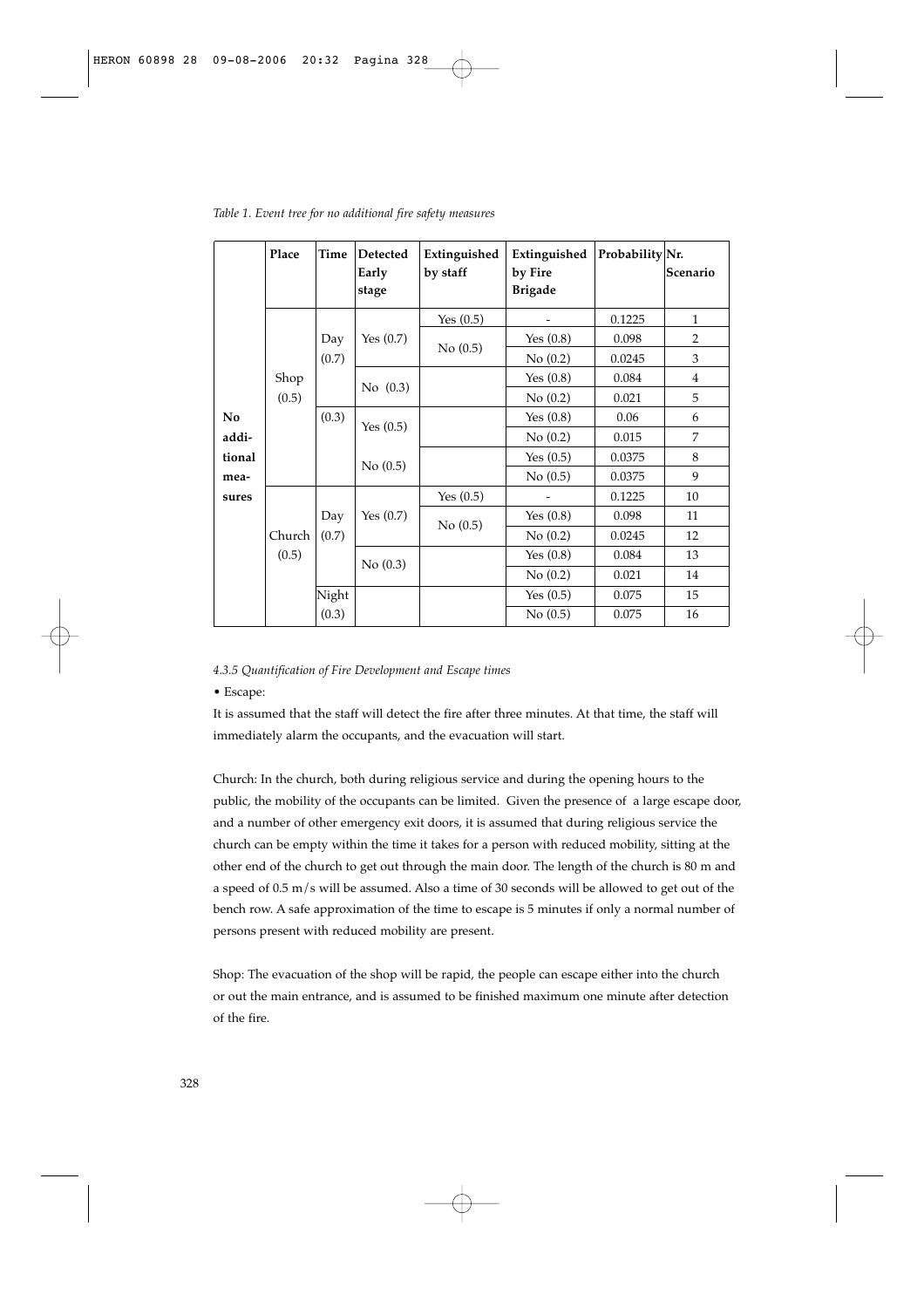|        | Place  | <b>Time</b> | <b>Detected</b><br>Early<br>stage | Extinguished<br>by staff | Extinguished<br>by Fire<br><b>Brigade</b> | Probability Nr. | Scenario       |
|--------|--------|-------------|-----------------------------------|--------------------------|-------------------------------------------|-----------------|----------------|
|        |        |             |                                   | Yes $(0.5)$              |                                           | 0.1225          | $\mathbf{1}$   |
|        |        | Day         | Yes $(0.7)$                       |                          | Yes $(0.8)$                               | 0.098           | $\overline{2}$ |
|        |        | (0.7)       |                                   | No(0.5)                  | No(0.2)                                   | 0.0245          | 3              |
|        | Shop   |             | No (0.3)                          |                          | Yes $(0.8)$                               | 0.084           | $\overline{4}$ |
|        | (0.5)  |             |                                   |                          | No(0.2)                                   | 0.021           | 5              |
| No     |        | (0.3)       | Yes $(0.5)$                       |                          | Yes $(0.8)$                               | 0.06            | 6              |
| addi-  |        |             |                                   |                          | No(0.2)                                   | 0.015           | 7              |
| tional |        |             | No(0.5)                           |                          | Yes $(0.5)$                               | 0.0375          | 8              |
| mea-   |        |             |                                   |                          | No(0.5)                                   | 0.0375          | 9              |
| sures  |        |             |                                   | Yes $(0.5)$              |                                           | 0.1225          | 10             |
|        |        | Day         | Yes $(0.7)$                       | No(0.5)                  | Yes $(0.8)$                               | 0.098           | 11             |
|        | Church | (0.7)       |                                   |                          | No(0.2)                                   | 0.0245          | 12             |
|        | (0.5)  |             | No(0.3)                           |                          | Yes $(0.8)$                               | 0.084           | 13             |
|        |        |             |                                   |                          | No(0.2)                                   | 0.021           | 14             |
|        |        | Night       |                                   |                          | Yes $(0.5)$                               | 0.075           | 15             |
|        |        | (0.3)       |                                   |                          | No(0.5)                                   | 0.075           | 16             |

*Table 1. Event tree for no additional fire safety measures*

#### *4.3.5 Quantification of Fire Development and Escape times*

## • Escape:

It is assumed that the staff will detect the fire after three minutes. At that time, the staff will immediately alarm the occupants, and the evacuation will start.

Church: In the church, both during religious service and during the opening hours to the public, the mobility of the occupants can be limited. Given the presence of a large escape door, and a number of other emergency exit doors, it is assumed that during religious service the church can be empty within the time it takes for a person with reduced mobility, sitting at the other end of the church to get out through the main door. The length of the church is 80 m and a speed of  $0.5$  m/s will be assumed. Also a time of 30 seconds will be allowed to get out of the bench row. A safe approximation of the time to escape is 5 minutes if only a normal number of persons present with reduced mobility are present.

Shop: The evacuation of the shop will be rapid, the people can escape either into the church or out the main entrance, and is assumed to be finished maximum one minute after detection of the fire.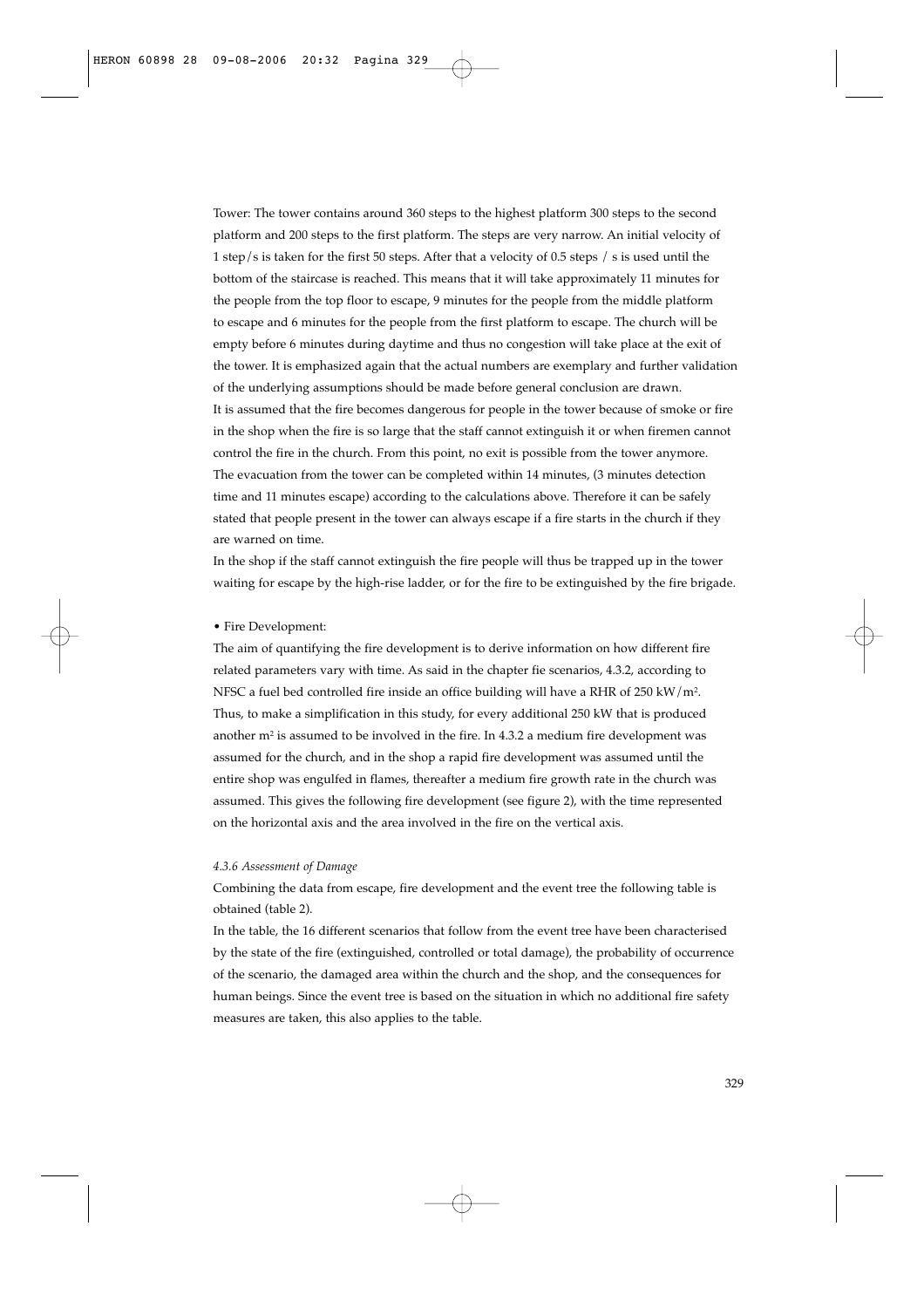Tower: The tower contains around 360 steps to the highest platform 300 steps to the second platform and 200 steps to the first platform. The steps are very narrow. An initial velocity of 1 step/s is taken for the first 50 steps. After that a velocity of 0.5 steps / s is used until the bottom of the staircase is reached. This means that it will take approximately 11 minutes for the people from the top floor to escape, 9 minutes for the people from the middle platform to escape and 6 minutes for the people from the first platform to escape. The church will be empty before 6 minutes during daytime and thus no congestion will take place at the exit of the tower. It is emphasized again that the actual numbers are exemplary and further validation of the underlying assumptions should be made before general conclusion are drawn. It is assumed that the fire becomes dangerous for people in the tower because of smoke or fire in the shop when the fire is so large that the staff cannot extinguish it or when firemen cannot control the fire in the church. From this point, no exit is possible from the tower anymore. The evacuation from the tower can be completed within 14 minutes, (3 minutes detection time and 11 minutes escape) according to the calculations above. Therefore it can be safely stated that people present in the tower can always escape if a fire starts in the church if they are warned on time.

In the shop if the staff cannot extinguish the fire people will thus be trapped up in the tower waiting for escape by the high-rise ladder, or for the fire to be extinguished by the fire brigade.

#### • Fire Development:

The aim of quantifying the fire development is to derive information on how different fire related parameters vary with time. As said in the chapter fie scenarios, 4.3.2, according to NFSC a fuel bed controlled fire inside an office building will have a RHR of 250 kW/m2. Thus, to make a simplification in this study, for every additional 250 kW that is produced another  $m<sup>2</sup>$  is assumed to be involved in the fire. In 4.3.2 a medium fire development was assumed for the church, and in the shop a rapid fire development was assumed until the entire shop was engulfed in flames, thereafter a medium fire growth rate in the church was assumed. This gives the following fire development (see figure 2), with the time represented on the horizontal axis and the area involved in the fire on the vertical axis.

## *4.3.6 Assessment of Damage*

Combining the data from escape, fire development and the event tree the following table is obtained (table 2).

In the table, the 16 different scenarios that follow from the event tree have been characterised by the state of the fire (extinguished, controlled or total damage), the probability of occurrence of the scenario, the damaged area within the church and the shop, and the consequences for human beings. Since the event tree is based on the situation in which no additional fire safety measures are taken, this also applies to the table.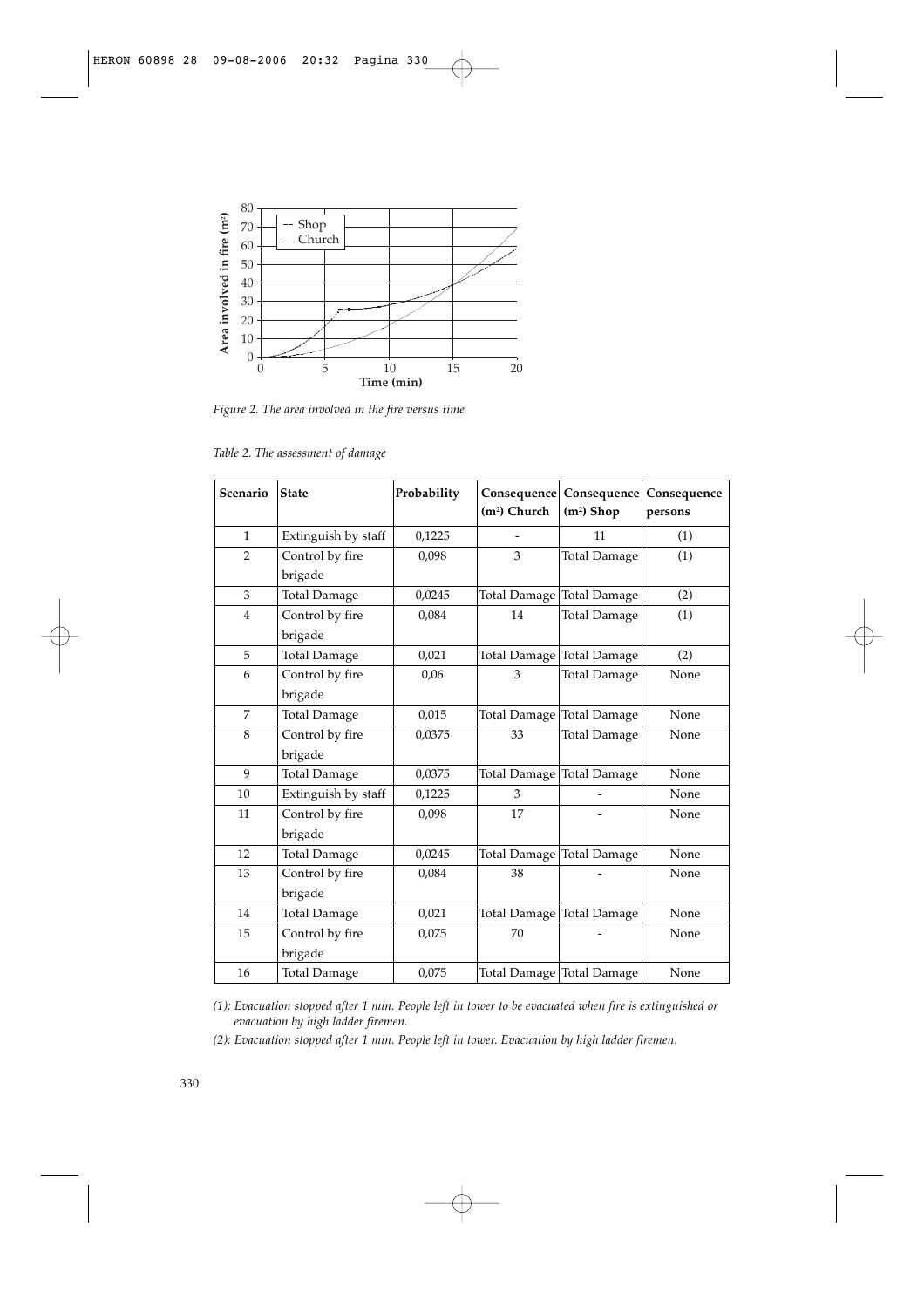

*Figure 2. The area involved in the fire versus time*

| Scenario       | <b>State</b>        | Probability<br>Consequence<br>(m <sup>2</sup> ) Church |                     | Consequence<br>$(m2)$ Shop | Consequence<br>persons |
|----------------|---------------------|--------------------------------------------------------|---------------------|----------------------------|------------------------|
| $\mathbf{1}$   | Extinguish by staff | 0,1225                                                 |                     | 11                         | (1)                    |
| $\overline{2}$ | Control by fire     | 0,098                                                  | 3                   | <b>Total Damage</b>        | (1)                    |
|                | brigade             |                                                        |                     |                            |                        |
| 3              | <b>Total Damage</b> | 0,0245                                                 |                     | Total Damage Total Damage  | (2)                    |
| $\overline{4}$ | Control by fire     | 0,084                                                  | 14                  | <b>Total Damage</b>        | (1)                    |
|                | brigade             |                                                        |                     |                            |                        |
| 5              | <b>Total Damage</b> | 0,021                                                  | <b>Total Damage</b> | <b>Total Damage</b>        | (2)                    |
| 6              | Control by fire     | 0,06                                                   | 3                   | <b>Total Damage</b>        | None                   |
|                | brigade             |                                                        |                     |                            |                        |
| $\overline{7}$ | <b>Total Damage</b> | 0,015                                                  | Total Damage        | <b>Total Damage</b>        | None                   |
| 8              | Control by fire     | 0,0375                                                 | 33                  | <b>Total Damage</b>        | None                   |
|                | brigade             |                                                        |                     |                            |                        |
| 9              | <b>Total Damage</b> | 0,0375                                                 | Total Damage        | <b>Total Damage</b>        | None                   |
| 10             | Extinguish by staff | 0,1225                                                 | 3                   |                            | None                   |
| 11             | Control by fire     | 0,098                                                  | 17                  |                            | None                   |
|                | brigade             |                                                        |                     |                            |                        |
| 12             | <b>Total Damage</b> | 0,0245                                                 |                     | Total Damage Total Damage  | None                   |
| 13             | Control by fire     | 0,084                                                  | 38                  |                            | None                   |
|                | brigade             |                                                        |                     |                            |                        |
| 14             | <b>Total Damage</b> | 0,021                                                  |                     | Total Damage Total Damage  | None                   |
| 15             | Control by fire     | 0,075                                                  | 70                  |                            | None                   |
|                | brigade             |                                                        |                     |                            |                        |
| 16             | <b>Total Damage</b> | 0,075                                                  |                     | Total Damage Total Damage  | None                   |

*Table 2. The assessment of damage* 

*(1): Evacuation stopped after 1 min. People left in tower to be evacuated when fire is extinguished or evacuation by high ladder firemen.*

*(2): Evacuation stopped after 1 min. People left in tower. Evacuation by high ladder firemen.*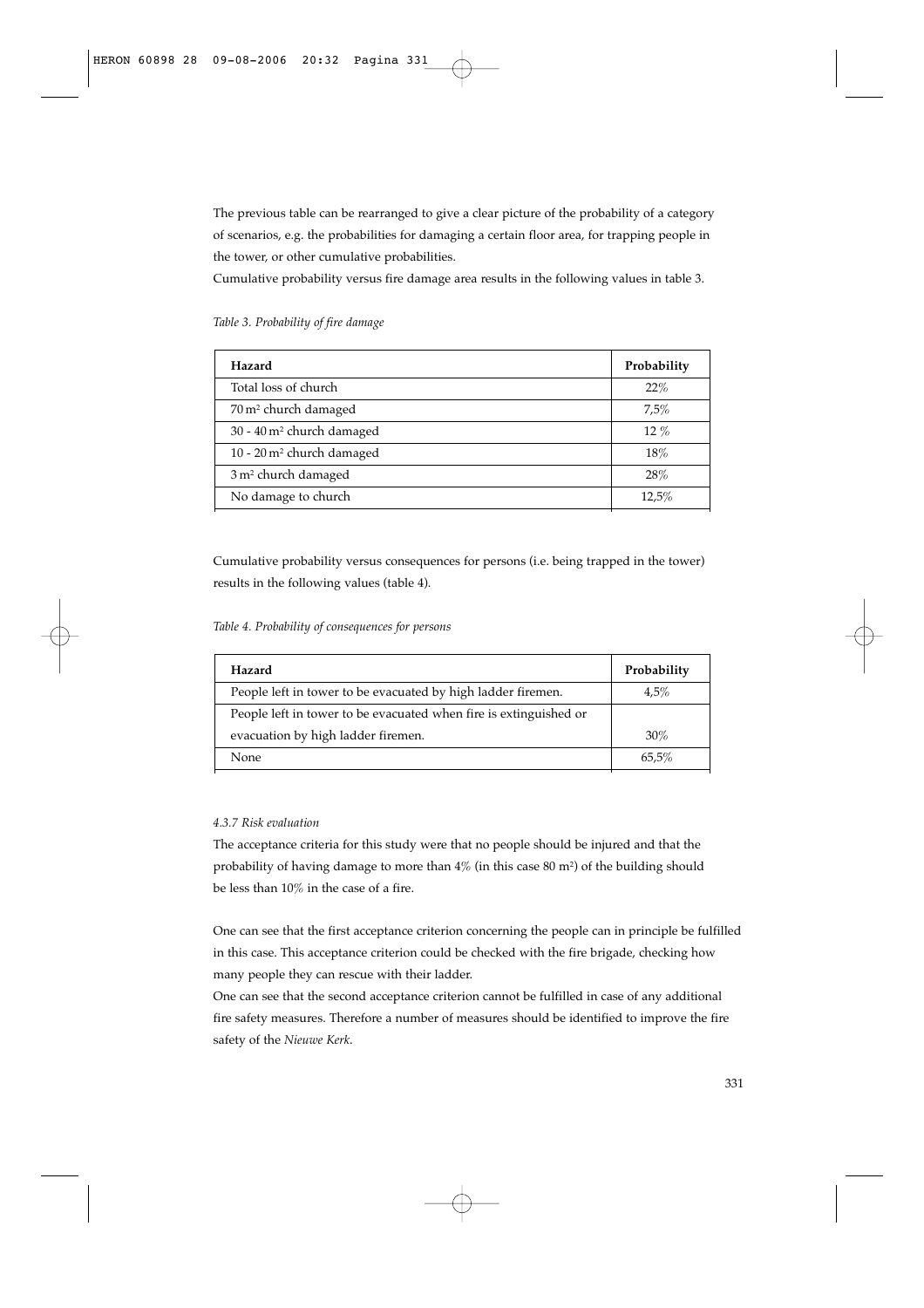The previous table can be rearranged to give a clear picture of the probability of a category of scenarios, e.g. the probabilities for damaging a certain floor area, for trapping people in the tower, or other cumulative probabilities.

Cumulative probability versus fire damage area results in the following values in table 3.

| Hazard                                  | Probability |
|-----------------------------------------|-------------|
| Total loss of church                    | 22%         |
| 70 m <sup>2</sup> church damaged        | 7,5%        |
| 30 - 40 m <sup>2</sup> church damaged   | $12\%$      |
| $10 - 20$ m <sup>2</sup> church damaged | 18%         |
| 3 m <sup>2</sup> church damaged         | 28%         |
| No damage to church                     | 12,5%       |

*Table 3. Probability of fire damage* 

Cumulative probability versus consequences for persons (i.e. being trapped in the tower) results in the following values (table 4).

*Table 4. Probability of consequences for persons*

| Hazard                                                            | Probability |
|-------------------------------------------------------------------|-------------|
| People left in tower to be evacuated by high ladder firemen.      | 4.5%        |
| People left in tower to be evacuated when fire is extinguished or |             |
| evacuation by high ladder firemen.                                | 30%         |
| None                                                              |             |

# *4.3.7 Risk evaluation*

The acceptance criteria for this study were that no people should be injured and that the probability of having damage to more than  $4\%$  (in this case 80 m<sup>2</sup>) of the building should be less than 10% in the case of a fire.

One can see that the first acceptance criterion concerning the people can in principle be fulfilled in this case. This acceptance criterion could be checked with the fire brigade, checking how many people they can rescue with their ladder.

One can see that the second acceptance criterion cannot be fulfilled in case of any additional fire safety measures. Therefore a number of measures should be identified to improve the fire safety of the *Nieuwe Kerk*.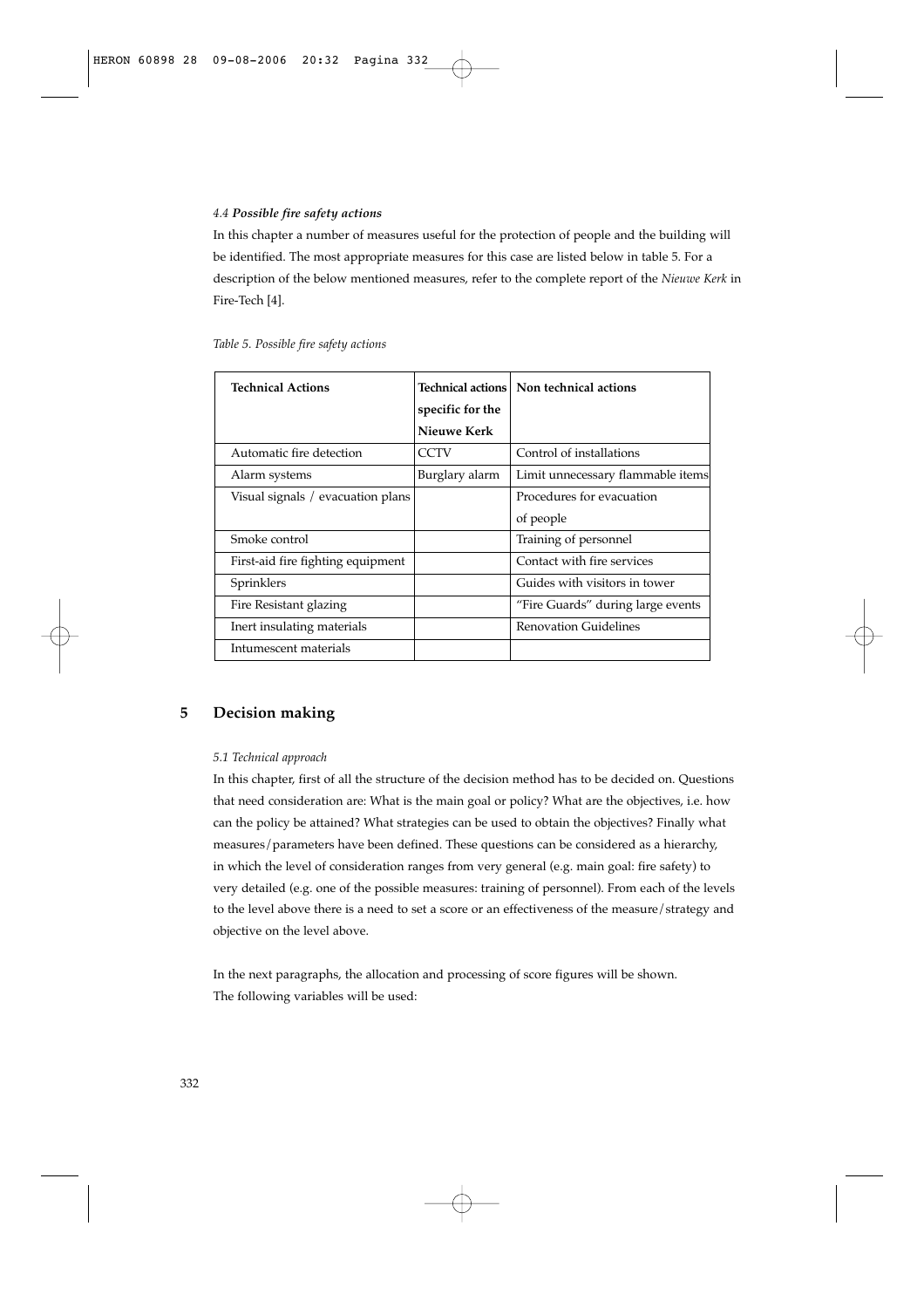## *4.4 Possible fire safety actions*

In this chapter a number of measures useful for the protection of people and the building will be identified. The most appropriate measures for this case are listed below in table 5. For a description of the below mentioned measures, refer to the complete report of the *Nieuwe Kerk* in Fire-Tech [4].

| <b>Technical Actions</b>          |                  | Technical actions   Non technical actions |
|-----------------------------------|------------------|-------------------------------------------|
|                                   | specific for the |                                           |
|                                   | Nieuwe Kerk      |                                           |
| Automatic fire detection          | <b>CCTV</b>      | Control of installations                  |
| Alarm systems                     | Burglary alarm   | Limit unnecessary flammable items         |
| Visual signals / evacuation plans |                  | Procedures for evacuation                 |
|                                   |                  | of people                                 |
| Smoke control                     |                  | Training of personnel                     |
| First-aid fire fighting equipment |                  | Contact with fire services                |
| Sprinklers                        |                  | Guides with visitors in tower             |
| Fire Resistant glazing            |                  | "Fire Guards" during large events         |
| Inert insulating materials        |                  | <b>Renovation Guidelines</b>              |
| Intumescent materials             |                  |                                           |

*Table 5. Possible fire safety actions*

# **5 Decision making**

## *5.1 Technical approach*

In this chapter, first of all the structure of the decision method has to be decided on. Questions that need consideration are: What is the main goal or policy? What are the objectives, i.e. how can the policy be attained? What strategies can be used to obtain the objectives? Finally what measures/parameters have been defined. These questions can be considered as a hierarchy, in which the level of consideration ranges from very general (e.g. main goal: fire safety) to very detailed (e.g. one of the possible measures: training of personnel). From each of the levels to the level above there is a need to set a score or an effectiveness of the measure/strategy and objective on the level above.

In the next paragraphs, the allocation and processing of score figures will be shown. The following variables will be used: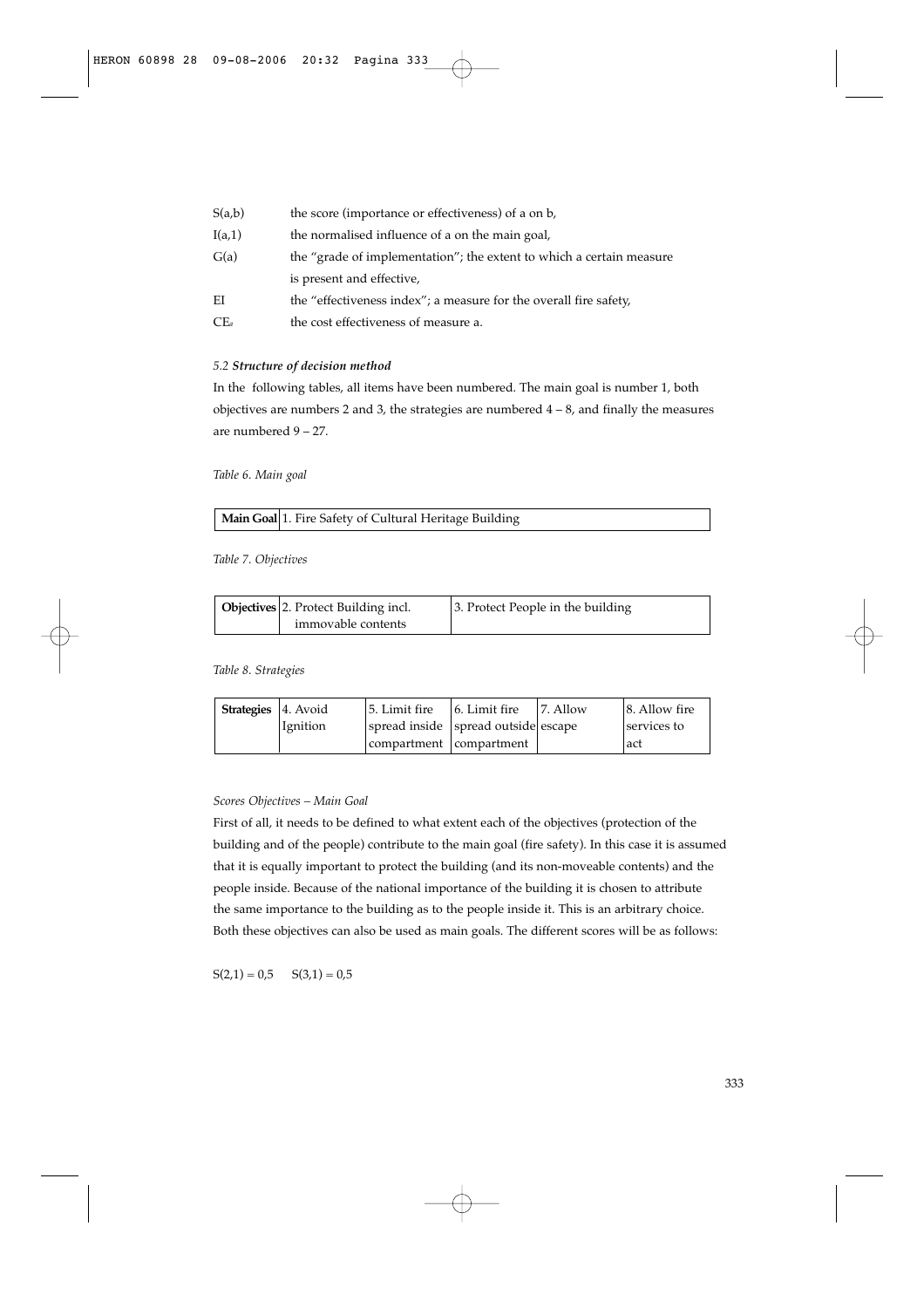| S(a,b)          | the score (importance or effectiveness) of a on b,                   |
|-----------------|----------------------------------------------------------------------|
| I(a,1)          | the normalised influence of a on the main goal,                      |
| G(a)            | the "grade of implementation"; the extent to which a certain measure |
|                 | is present and effective,                                            |
| EI              | the "effectiveness index"; a measure for the overall fire safety,    |
| CE <sub>a</sub> | the cost effectiveness of measure a.                                 |

## *5.2 Structure of decision method*

In the following tables, all items have been numbered. The main goal is number 1, both objectives are numbers 2 and 3, the strategies are numbered 4 – 8, and finally the measures are numbered 9 – 27.

*Table 6. Main goal*

| Main Goal 1. Fire Safety of Cultural Heritage Building |  |
|--------------------------------------------------------|--|
|--------------------------------------------------------|--|

*Table 7. Objectives*

| Objectives 2. Protect Building incl. | 3. Protect People in the building |  |  |  |  |
|--------------------------------------|-----------------------------------|--|--|--|--|
| immovable contents                   |                                   |  |  |  |  |

*Table 8. Strategies*

| <b>Strategies</b> 4. Avoid |          | 15. Limit fire                      | 6. Limit fire | 17. Allow | 8. Allow fire |
|----------------------------|----------|-------------------------------------|---------------|-----------|---------------|
|                            | Ignition | spread inside spread outside escape |               |           | services to   |
|                            |          | compartment compartment             |               |           | lact          |

# *Scores Objectives – Main Goal*

First of all, it needs to be defined to what extent each of the objectives (protection of the building and of the people) contribute to the main goal (fire safety). In this case it is assumed that it is equally important to protect the building (and its non-moveable contents) and the people inside. Because of the national importance of the building it is chosen to attribute the same importance to the building as to the people inside it. This is an arbitrary choice. Both these objectives can also be used as main goals. The different scores will be as follows:

 $S(2,1) = 0.5$   $S(3,1) = 0.5$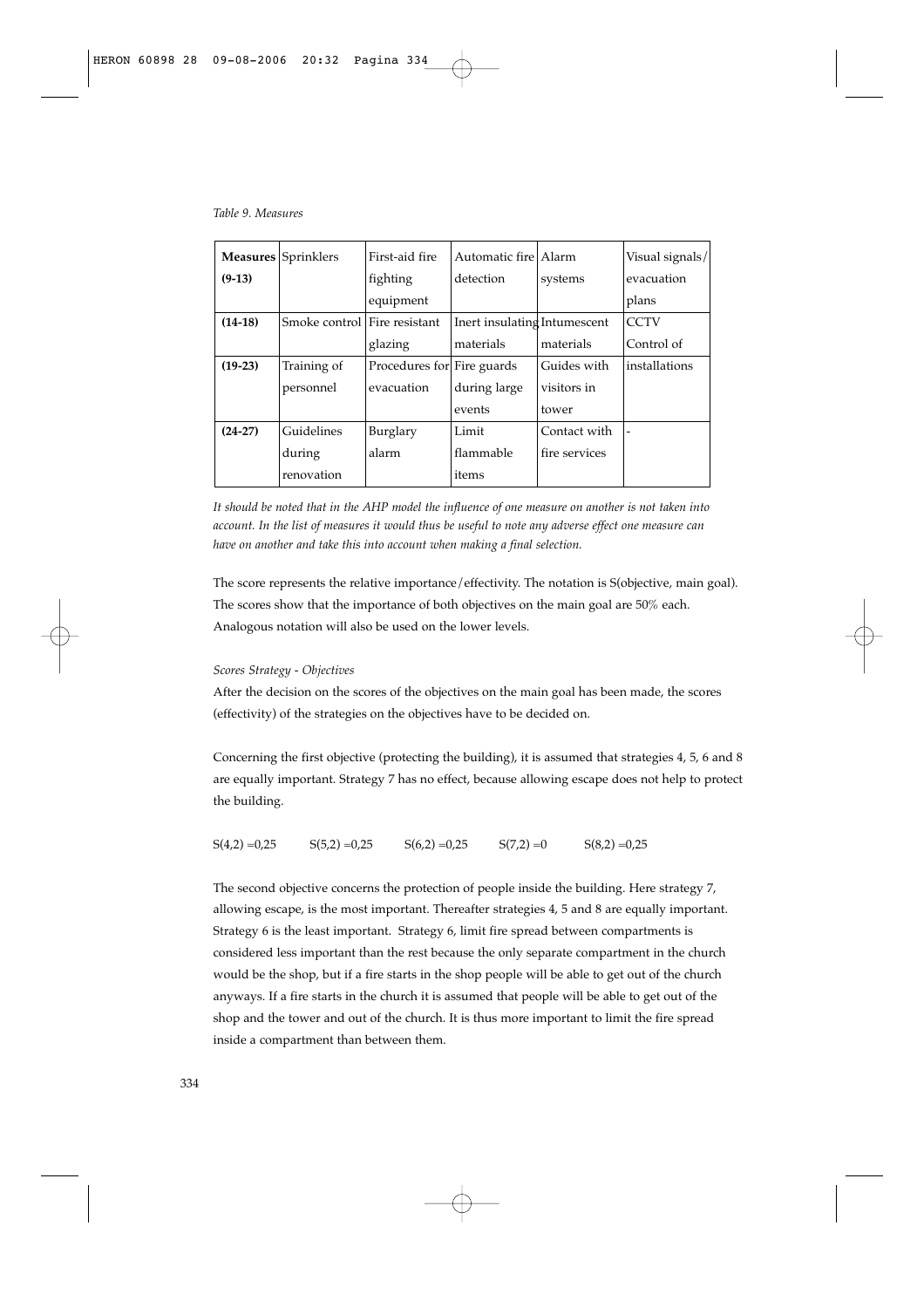*Table 9. Measures*

|           | <b>Measures</b> Sprinklers   | First-aid fire             | Automatic fire   Alarm       |               | Visual signals/ |
|-----------|------------------------------|----------------------------|------------------------------|---------------|-----------------|
| $(9-13)$  |                              | fighting                   | detection                    | systems       | evacuation      |
|           |                              | equipment                  |                              |               | plans           |
| $(14-18)$ | Smoke control Fire resistant |                            | Inert insulating Intumescent |               | <b>CCTV</b>     |
|           |                              | glazing                    | materials                    | materials     | Control of      |
| $(19-23)$ | Training of                  | Procedures for Fire guards |                              | Guides with   | installations   |
|           | personnel                    | evacuation                 | during large                 | visitors in   |                 |
|           |                              |                            | events                       | tower         |                 |
| $(24-27)$ | Guidelines                   | Burglary                   | Limit                        | Contact with  |                 |
|           | during                       | alarm                      | flammable                    | fire services |                 |
|           | renovation                   |                            | items                        |               |                 |

*It should be noted that in the AHP model the influence of one measure on another is not taken into account. In the list of measures it would thus be useful to note any adverse effect one measure can have on another and take this into account when making a final selection.* 

The score represents the relative importance/effectivity. The notation is S(objective, main goal). The scores show that the importance of both objectives on the main goal are 50% each. Analogous notation will also be used on the lower levels.

### *Scores Strategy - Objectives*

After the decision on the scores of the objectives on the main goal has been made, the scores (effectivity) of the strategies on the objectives have to be decided on.

Concerning the first objective (protecting the building), it is assumed that strategies 4, 5, 6 and 8 are equally important. Strategy 7 has no effect, because allowing escape does not help to protect the building.

 $S(4,2) = 0,25$   $S(5,2) = 0,25$   $S(6,2) = 0,25$   $S(7,2) = 0$   $S(8,2) = 0,25$ 

The second objective concerns the protection of people inside the building. Here strategy 7, allowing escape, is the most important. Thereafter strategies 4, 5 and 8 are equally important. Strategy 6 is the least important. Strategy 6, limit fire spread between compartments is considered less important than the rest because the only separate compartment in the church would be the shop, but if a fire starts in the shop people will be able to get out of the church anyways. If a fire starts in the church it is assumed that people will be able to get out of the shop and the tower and out of the church. It is thus more important to limit the fire spread inside a compartment than between them.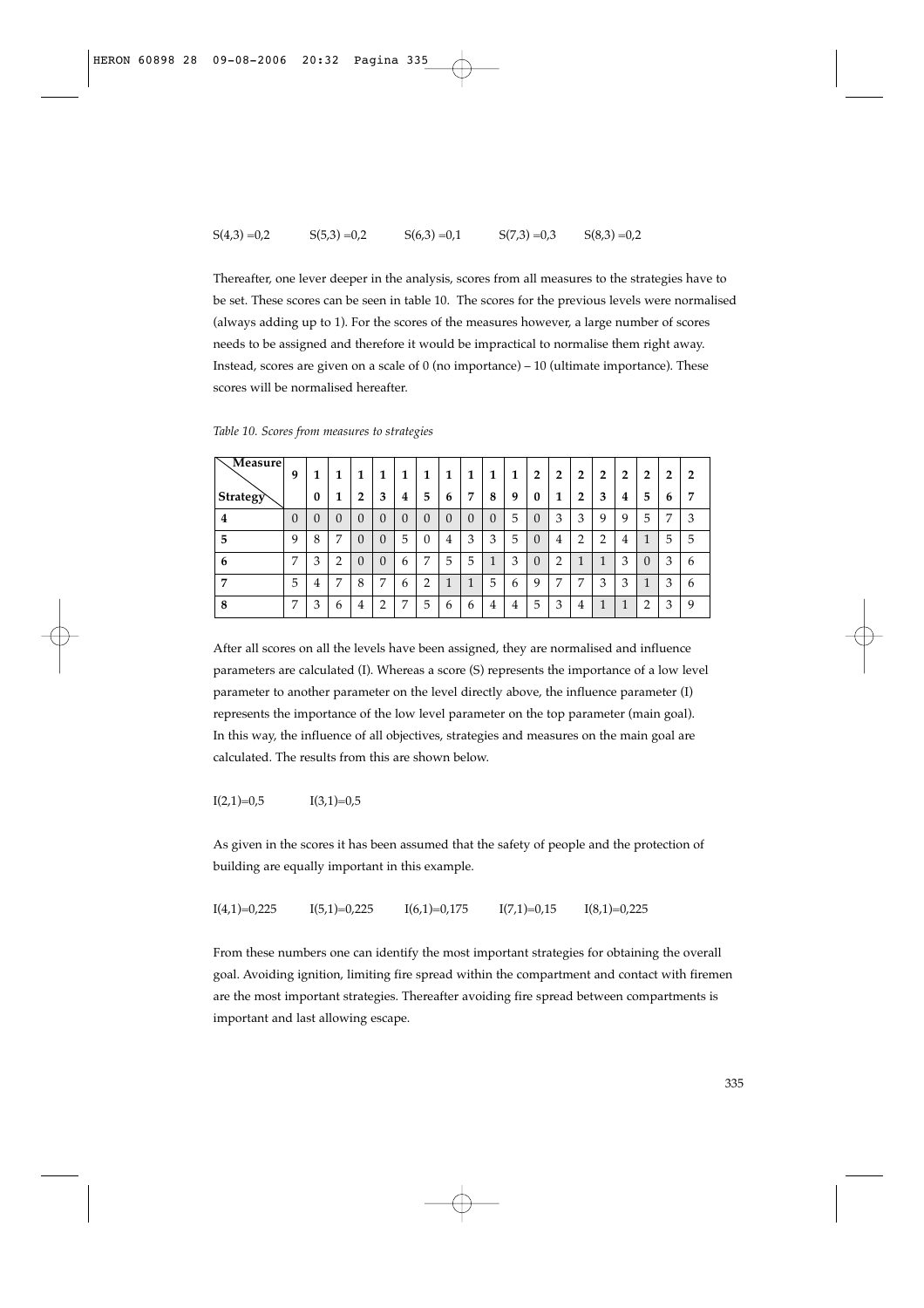#### $S(4,3) = 0,2$   $S(5,3) = 0,2$   $S(6,3) = 0,1$   $S(7,3) = 0,3$   $S(8,3) = 0,2$

Thereafter, one lever deeper in the analysis, scores from all measures to the strategies have to be set. These scores can be seen in table 10. The scores for the previous levels were normalised (always adding up to 1). For the scores of the measures however, a large number of scores needs to be assigned and therefore it would be impractical to normalise them right away. Instead, scores are given on a scale of  $0$  (no importance) – 10 (ultimate importance). These scores will be normalised hereafter.

| Measure                        | 9        | 1        | 1        | 1              | 1        | 1        | 1        | 1        |          | 1        | 1 | 2        | 2              | $\overline{2}$ | $\overline{2}$ | $\mathbf{2}$ | $\overline{2}$ | 2 | $\overline{2}$ |
|--------------------------------|----------|----------|----------|----------------|----------|----------|----------|----------|----------|----------|---|----------|----------------|----------------|----------------|--------------|----------------|---|----------------|
| $ \operatorname{\sf Strategy}$ |          |          | ш        | $\overline{2}$ | 3        | 4        | 5        | 6        | ▬        | 8        | 9 | 0        | 1              | 2              | 3              | 4            | 5              | b | 7              |
| 4                              | $\Omega$ | $\theta$ | $\theta$ | $\Omega$       | $\theta$ | $\Omega$ | $\theta$ | $\theta$ | $\theta$ | $\Omega$ | 5 | $\Omega$ | 3              | 3              | 9              | 9            | 5              | ⇁ | 3              |
| 5                              | 9        | 8        | ⇁        | $\Omega$       | $\Omega$ | 5        | $\theta$ | 4        | 3        | 3        | 5 | $\Omega$ | 4              | っ              | ◠              | 4            |                | 5 | 5              |
| 6                              | 7        | 3        | ◠        | $\Omega$       | $\Omega$ | 6        | 7        | 5        | 5        |          | 3 | $\Omega$ | $\overline{2}$ |                |                | 3            | $\Omega$       | 3 | 6              |
| $\overline{ }$                 | 5        | 4        | ⇁        | 8              | 7        | 6        | 2        |          |          | 5        | 6 | q        | 7              | –              | 3              | 3            |                | 3 | 6              |
| 8                              | 7        | 3        | b        | 4              | ∍        | ⇁        | 5        | h        | 6        | 4        | 4 | 5        | 3              | 4              |                |              | ∍              | 3 | 9              |

*Table 10. Scores from measures to strategies*

After all scores on all the levels have been assigned, they are normalised and influence parameters are calculated (I). Whereas a score (S) represents the importance of a low level parameter to another parameter on the level directly above, the influence parameter (I) represents the importance of the low level parameter on the top parameter (main goal). In this way, the influence of all objectives, strategies and measures on the main goal are calculated. The results from this are shown below.

$$
I(2,1)=0,5 \hspace{3.75cm} I(3,1)=0,5
$$

As given in the scores it has been assumed that the safety of people and the protection of building are equally important in this example.

 $I(4,1)=0,225$   $I(5,1)=0,225$   $I(6,1)=0,175$   $I(7,1)=0,15$   $I(8,1)=0,225$ 

From these numbers one can identify the most important strategies for obtaining the overall goal. Avoiding ignition, limiting fire spread within the compartment and contact with firemen are the most important strategies. Thereafter avoiding fire spread between compartments is important and last allowing escape.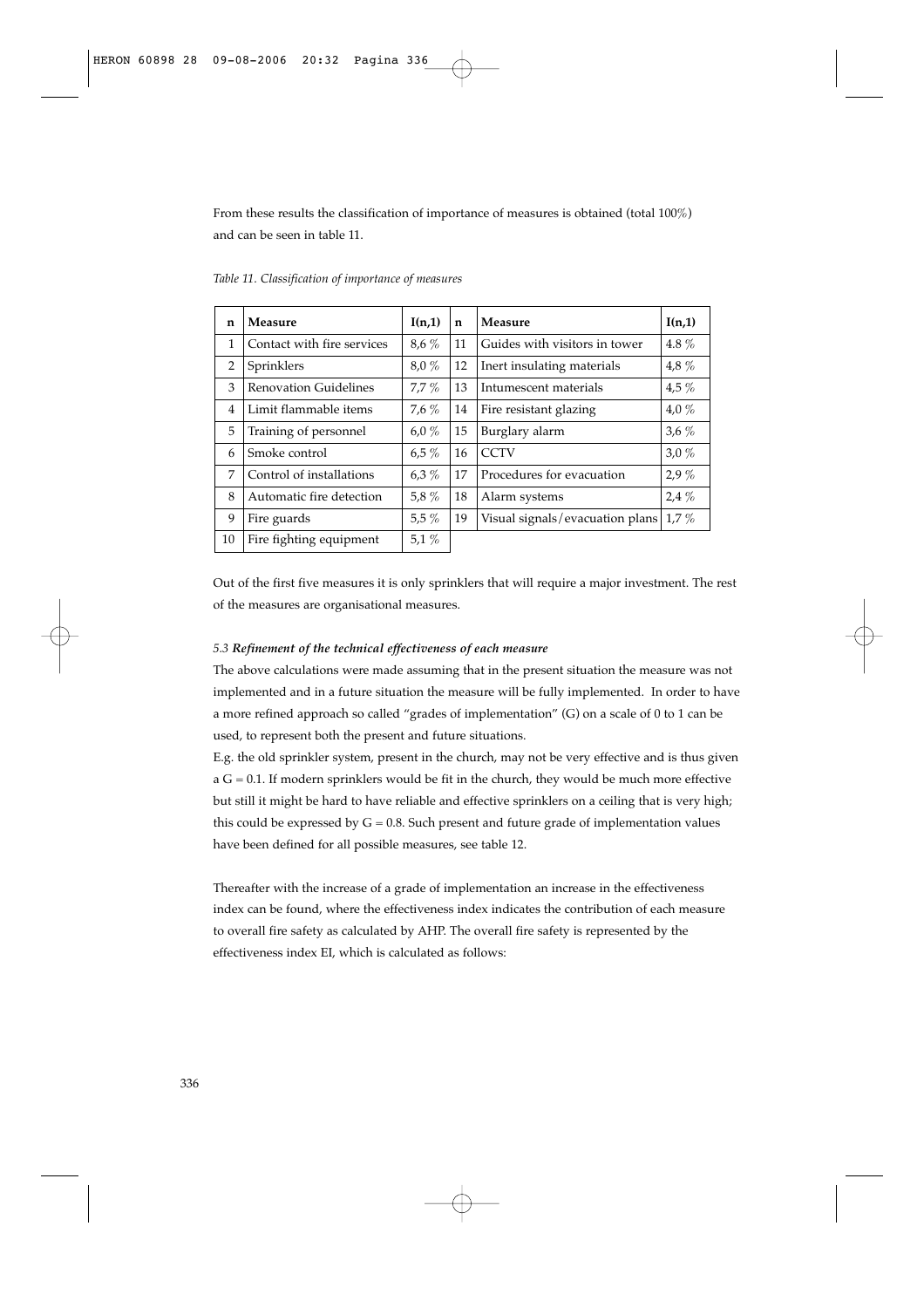From these results the classification of importance of measures is obtained (total 100%) and can be seen in table 11.

| n              | Measure                      | I(n,1)   | n  | Measure                         | I(n,1)  |
|----------------|------------------------------|----------|----|---------------------------------|---------|
| 1              | Contact with fire services   | $8.6\%$  | 11 | Guides with visitors in tower   | 4.8 $%$ |
| $\overline{2}$ | Sprinklers                   | $8.0\%$  | 12 | Inert insulating materials      | 4,8 $%$ |
| 3              | <b>Renovation Guidelines</b> | $7.7\%$  | 13 | Intumescent materials           | $4.5\%$ |
| $\overline{4}$ | Limit flammable items        | $7.6\%$  | 14 | Fire resistant glazing          | $4.0\%$ |
| 5              | Training of personnel        | 6,0 $%$  | 15 | Burglary alarm                  | $3.6\%$ |
| 6              | Smoke control                | $6.5\%$  | 16 | <b>CCTV</b>                     | 3.0%    |
| 7              | Control of installations     | $6.3 \%$ | 17 | Procedures for evacuation       | 2.9%    |
| 8              | Automatic fire detection     | 5,8 $%$  | 18 | Alarm systems                   | $2.4\%$ |
| 9              | Fire guards                  | $5.5\%$  | 19 | Visual signals/evacuation plans | $1.7\%$ |
| 10             | Fire fighting equipment      | 5.1 $%$  |    |                                 |         |

*Table 11. Classification of importance of measures*

Out of the first five measures it is only sprinklers that will require a major investment. The rest of the measures are organisational measures.

# *5.3 Refinement of the technical effectiveness of each measure*

The above calculations were made assuming that in the present situation the measure was not implemented and in a future situation the measure will be fully implemented. In order to have a more refined approach so called "grades of implementation" (G) on a scale of 0 to 1 can be used, to represent both the present and future situations.

E.g. the old sprinkler system, present in the church, may not be very effective and is thus given  $a G = 0.1$ . If modern sprinklers would be fit in the church, they would be much more effective but still it might be hard to have reliable and effective sprinklers on a ceiling that is very high; this could be expressed by  $G = 0.8$ . Such present and future grade of implementation values have been defined for all possible measures, see table 12.

Thereafter with the increase of a grade of implementation an increase in the effectiveness index can be found, where the effectiveness index indicates the contribution of each measure to overall fire safety as calculated by AHP. The overall fire safety is represented by the effectiveness index EI, which is calculated as follows: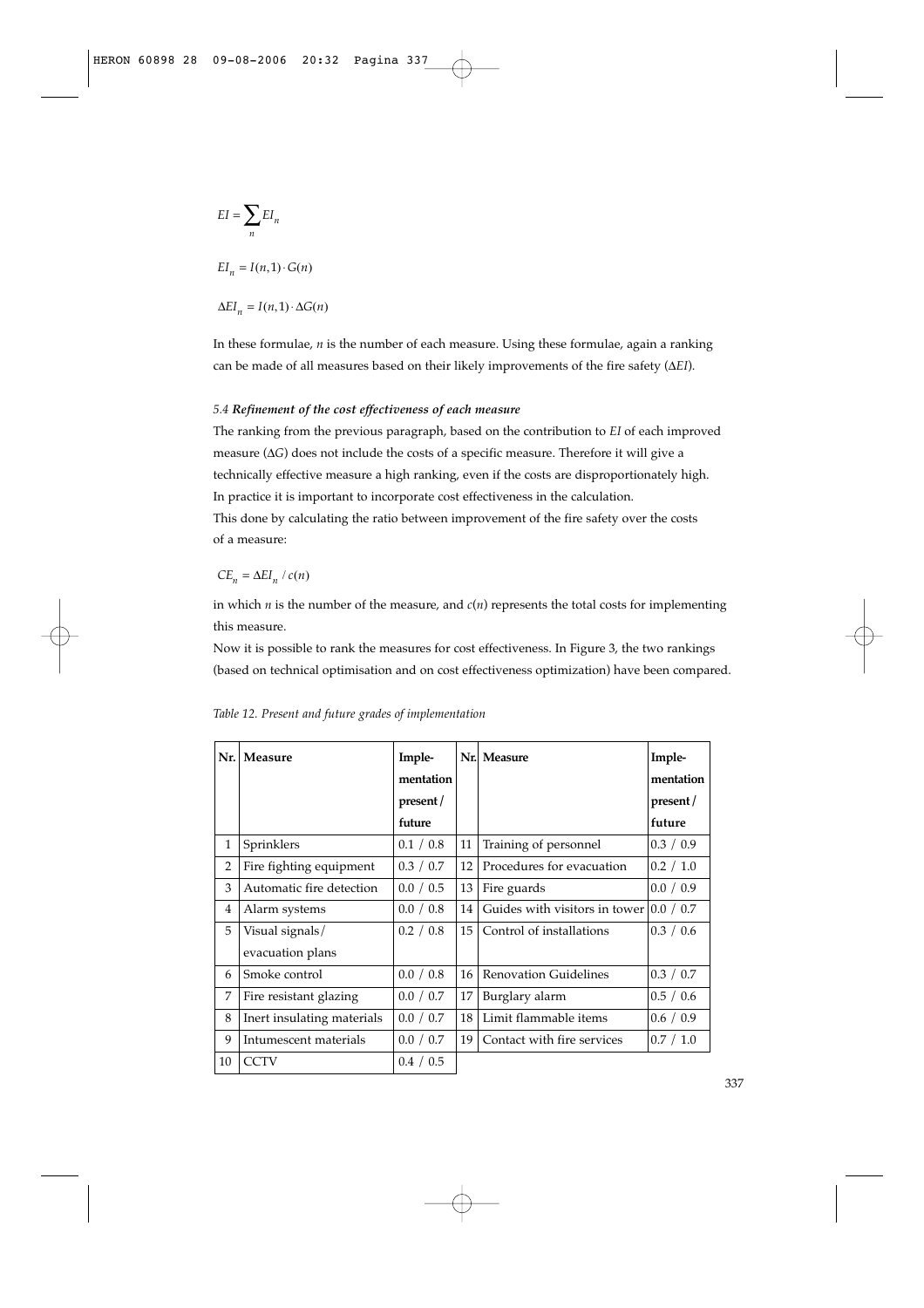$$
EI = \sum_{n} EI_n
$$
  
\n
$$
EI_n = I(n, 1) \cdot G(n)
$$
  
\n
$$
\Delta EI_n = I(n, 1) \cdot \Delta G(n)
$$

In these formulae, *n* is the number of each measure. Using these formulae, again a ranking can be made of all measures based on their likely improvements of the fire safety (Δ*EI*).

# *5.4 Refinement of the cost effectiveness of each measure*

The ranking from the previous paragraph, based on the contribution to *EI* of each improved measure (Δ*G*) does not include the costs of a specific measure. Therefore it will give a technically effective measure a high ranking, even if the costs are disproportionately high. In practice it is important to incorporate cost effectiveness in the calculation. This done by calculating the ratio between improvement of the fire safety over the costs of a measure:

$$
CE_n = \Delta EI_n / c(n)
$$

in which  $n$  is the number of the measure, and  $c(n)$  represents the total costs for implementing this measure.

Now it is possible to rank the measures for cost effectiveness. In Figure 3, the two rankings (based on technical optimisation and on cost effectiveness optimization) have been compared.

| Nr.            | Measure                    | Imple-    |    | Nr. Measure                   | Imple-    |
|----------------|----------------------------|-----------|----|-------------------------------|-----------|
|                |                            | mentation |    |                               | mentation |
|                |                            | present/  |    |                               | present/  |
|                |                            | future    |    |                               | future    |
| 1              | Sprinklers                 | 0.1 / 0.8 | 11 | Training of personnel         | 0.3 / 0.9 |
| $\overline{2}$ | Fire fighting equipment    | 0.3 / 0.7 | 12 | Procedures for evacuation     | 0.2 / 1.0 |
| 3              | Automatic fire detection   | 0.0 / 0.5 | 13 | Fire guards                   | 0.0 / 0.9 |
| $\overline{4}$ | Alarm systems              | 0.0 / 0.8 | 14 | Guides with visitors in tower | 0.0 / 0.7 |
| 5              | Visual signals/            | 0.2 / 0.8 | 15 | Control of installations      | 0.3 / 0.6 |
|                | evacuation plans           |           |    |                               |           |
| 6              | Smoke control              | 0.0 / 0.8 | 16 | <b>Renovation Guidelines</b>  | 0.3 / 0.7 |
| 7              | Fire resistant glazing     | 0.0 / 0.7 | 17 | Burglary alarm                | 0.5 / 0.6 |
| 8              | Inert insulating materials | 0.0 / 0.7 | 18 | Limit flammable items         | 0.6 / 0.9 |
| 9              | Intumescent materials      | 0.0 / 0.7 | 19 | Contact with fire services    | 0.7 / 1.0 |
| 10             | <b>CCTV</b>                | 0.4 / 0.5 |    |                               |           |

*Table 12. Present and future grades of implementation*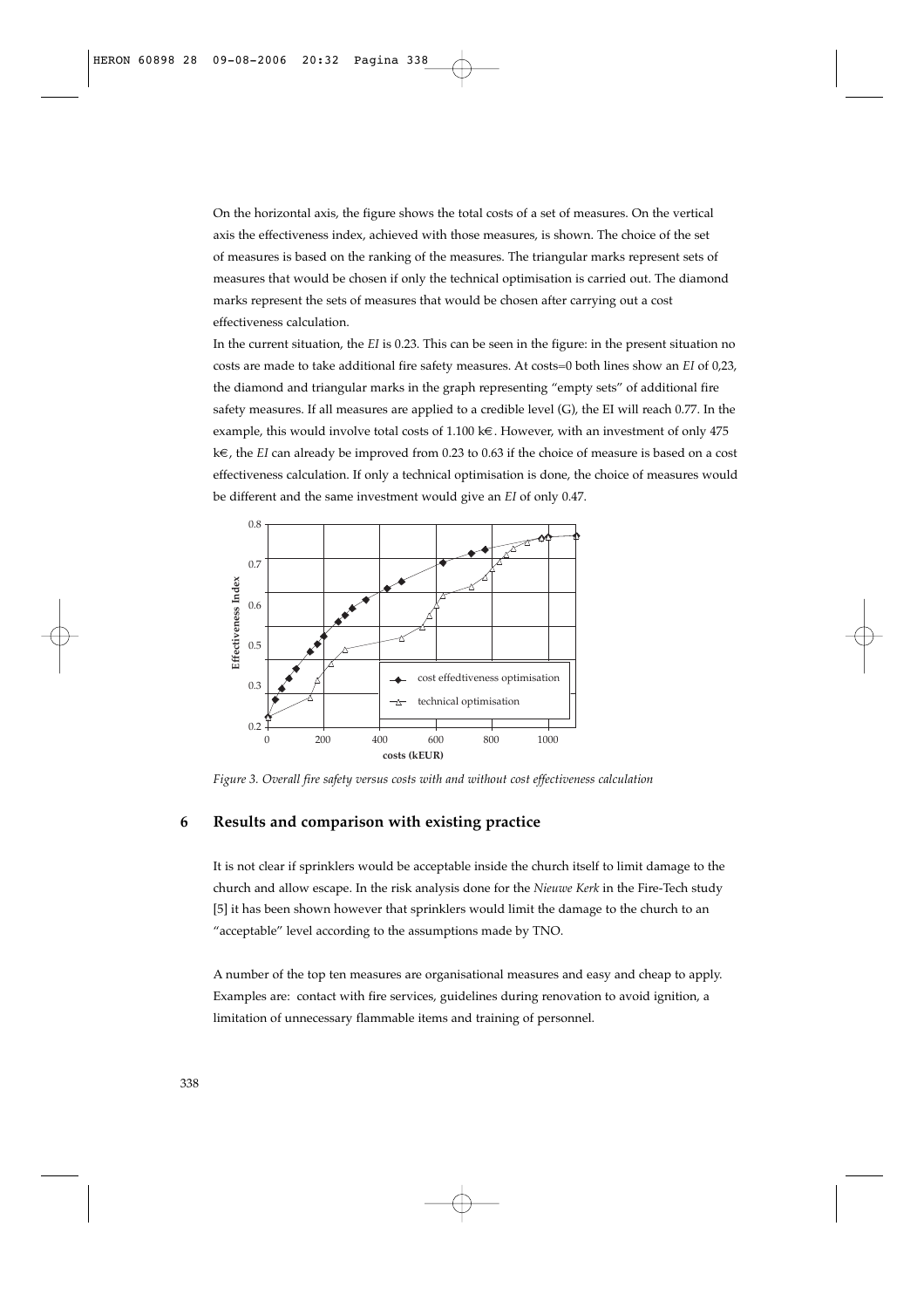On the horizontal axis, the figure shows the total costs of a set of measures. On the vertical axis the effectiveness index, achieved with those measures, is shown. The choice of the set of measures is based on the ranking of the measures. The triangular marks represent sets of measures that would be chosen if only the technical optimisation is carried out. The diamond marks represent the sets of measures that would be chosen after carrying out a cost effectiveness calculation.

In the current situation, the *EI* is 0.23. This can be seen in the figure: in the present situation no costs are made to take additional fire safety measures. At costs=0 both lines show an *EI* of 0,23, the diamond and triangular marks in the graph representing "empty sets" of additional fire safety measures. If all measures are applied to a credible level (G), the EI will reach 0.77. In the example, this would involve total costs of 1.100 k€. However, with an investment of only 475 k€, the *EI* can already be improved from 0.23 to 0.63 if the choice of measure is based on a cost effectiveness calculation. If only a technical optimisation is done, the choice of measures would be different and the same investment would give an *EI* of only 0.47.



*Figure 3. Overall fire safety versus costs with and without cost effectiveness calculation*

## **6 Results and comparison with existing practice**

It is not clear if sprinklers would be acceptable inside the church itself to limit damage to the church and allow escape. In the risk analysis done for the *Nieuwe Kerk* in the Fire-Tech study [5] it has been shown however that sprinklers would limit the damage to the church to an "acceptable" level according to the assumptions made by TNO.

A number of the top ten measures are organisational measures and easy and cheap to apply. Examples are: contact with fire services, guidelines during renovation to avoid ignition, a limitation of unnecessary flammable items and training of personnel.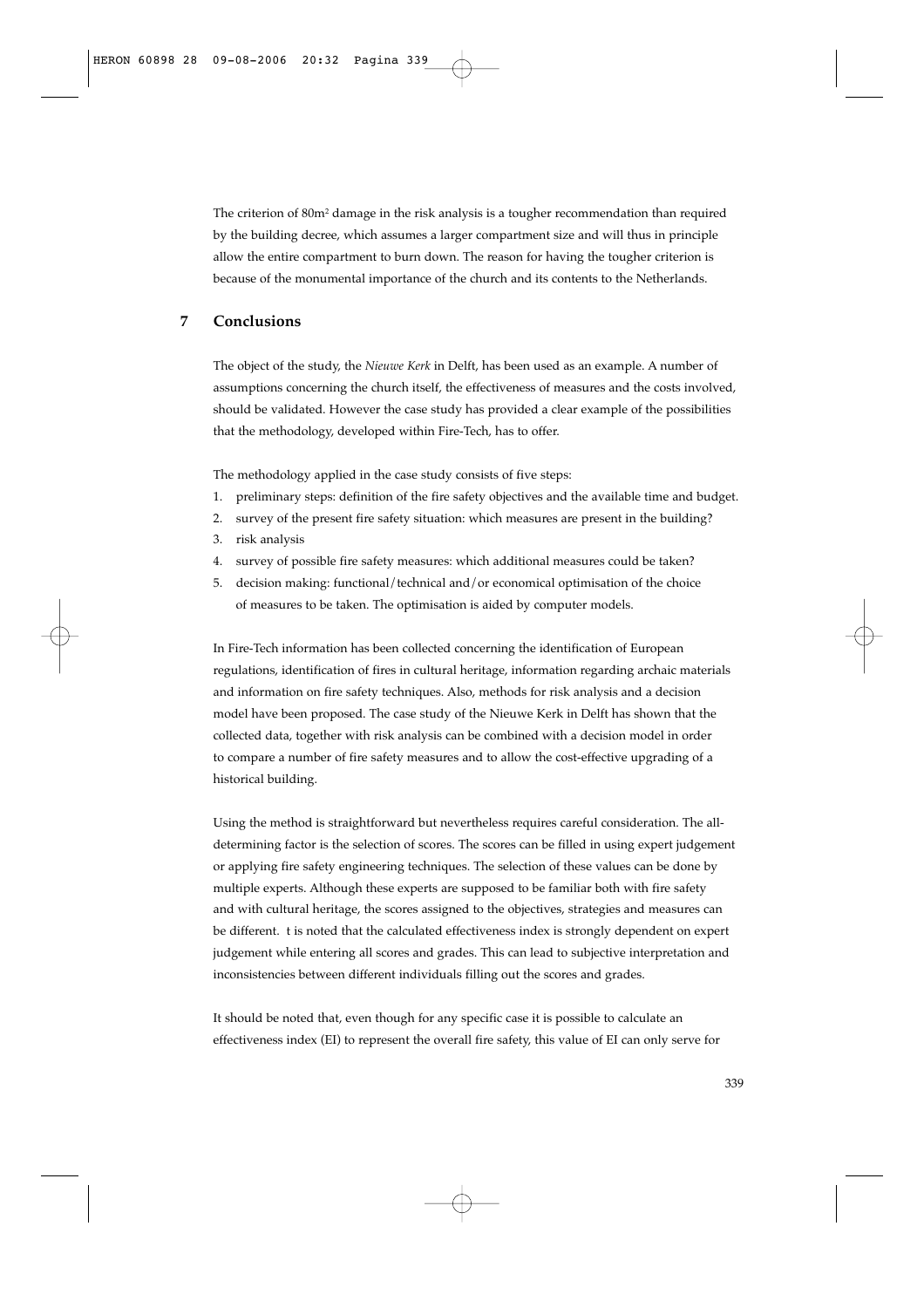The criterion of 80m<sup>2</sup> damage in the risk analysis is a tougher recommendation than required by the building decree, which assumes a larger compartment size and will thus in principle allow the entire compartment to burn down. The reason for having the tougher criterion is because of the monumental importance of the church and its contents to the Netherlands.

# **7 Conclusions**

The object of the study, the *Nieuwe Kerk* in Delft, has been used as an example. A number of assumptions concerning the church itself, the effectiveness of measures and the costs involved, should be validated. However the case study has provided a clear example of the possibilities that the methodology, developed within Fire-Tech, has to offer.

The methodology applied in the case study consists of five steps:

- 1. preliminary steps: definition of the fire safety objectives and the available time and budget.
- 2. survey of the present fire safety situation: which measures are present in the building?
- 3. risk analysis
- 4. survey of possible fire safety measures: which additional measures could be taken?
- 5. decision making: functional/technical and/or economical optimisation of the choice of measures to be taken. The optimisation is aided by computer models.

In Fire-Tech information has been collected concerning the identification of European regulations, identification of fires in cultural heritage, information regarding archaic materials and information on fire safety techniques. Also, methods for risk analysis and a decision model have been proposed. The case study of the Nieuwe Kerk in Delft has shown that the collected data, together with risk analysis can be combined with a decision model in order to compare a number of fire safety measures and to allow the cost-effective upgrading of a historical building.

Using the method is straightforward but nevertheless requires careful consideration. The alldetermining factor is the selection of scores. The scores can be filled in using expert judgement or applying fire safety engineering techniques. The selection of these values can be done by multiple experts. Although these experts are supposed to be familiar both with fire safety and with cultural heritage, the scores assigned to the objectives, strategies and measures can be different. t is noted that the calculated effectiveness index is strongly dependent on expert judgement while entering all scores and grades. This can lead to subjective interpretation and inconsistencies between different individuals filling out the scores and grades.

It should be noted that, even though for any specific case it is possible to calculate an effectiveness index (EI) to represent the overall fire safety, this value of EI can only serve for